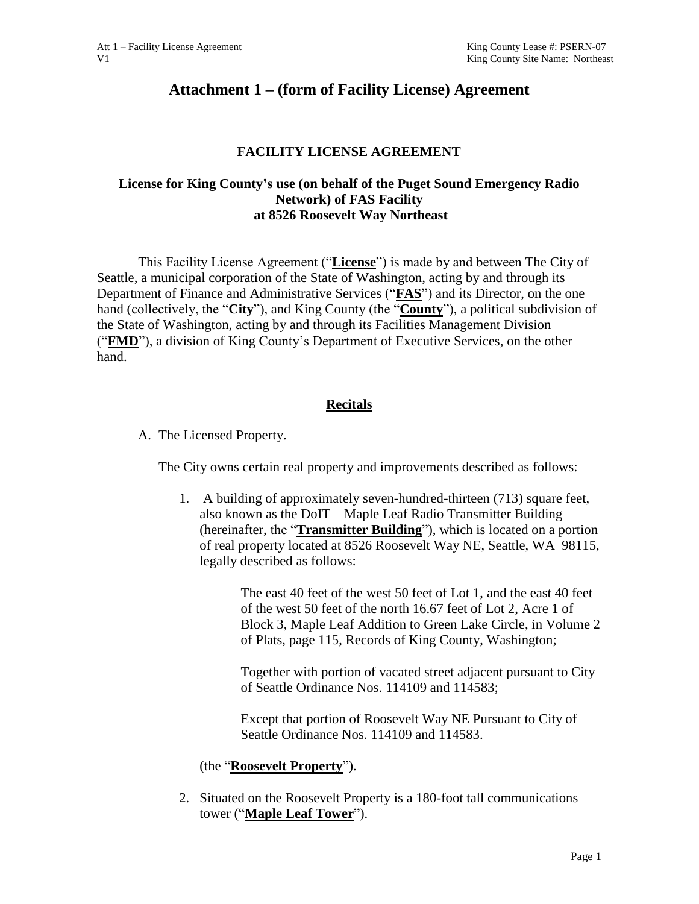# **Attachment 1 – (form of Facility License) Agreement**

### **FACILITY LICENSE AGREEMENT**

### **License for King County's use (on behalf of the Puget Sound Emergency Radio Network) of FAS Facility at 8526 Roosevelt Way Northeast**

This Facility License Agreement ("**License**") is made by and between The City of Seattle, a municipal corporation of the State of Washington, acting by and through its Department of Finance and Administrative Services ("**FAS**") and its Director, on the one hand (collectively, the "**City**"), and King County (the "**County**"), a political subdivision of the State of Washington, acting by and through its Facilities Management Division ("**FMD**"), a division of King County's Department of Executive Services, on the other hand.

### **Recitals**

A. The Licensed Property.

The City owns certain real property and improvements described as follows:

1. A building of approximately seven-hundred-thirteen (713) square feet, also known as the DoIT – Maple Leaf Radio Transmitter Building (hereinafter, the "**Transmitter Building**"), which is located on a portion of real property located at 8526 Roosevelt Way NE, Seattle, WA 98115, legally described as follows:

> The east 40 feet of the west 50 feet of Lot 1, and the east 40 feet of the west 50 feet of the north 16.67 feet of Lot 2, Acre 1 of Block 3, Maple Leaf Addition to Green Lake Circle, in Volume 2 of Plats, page 115, Records of King County, Washington;

Together with portion of vacated street adjacent pursuant to City of Seattle Ordinance Nos. 114109 and 114583;

Except that portion of Roosevelt Way NE Pursuant to City of Seattle Ordinance Nos. 114109 and 114583.

### (the "**Roosevelt Property**").

2. Situated on the Roosevelt Property is a 180-foot tall communications tower ("**Maple Leaf Tower**").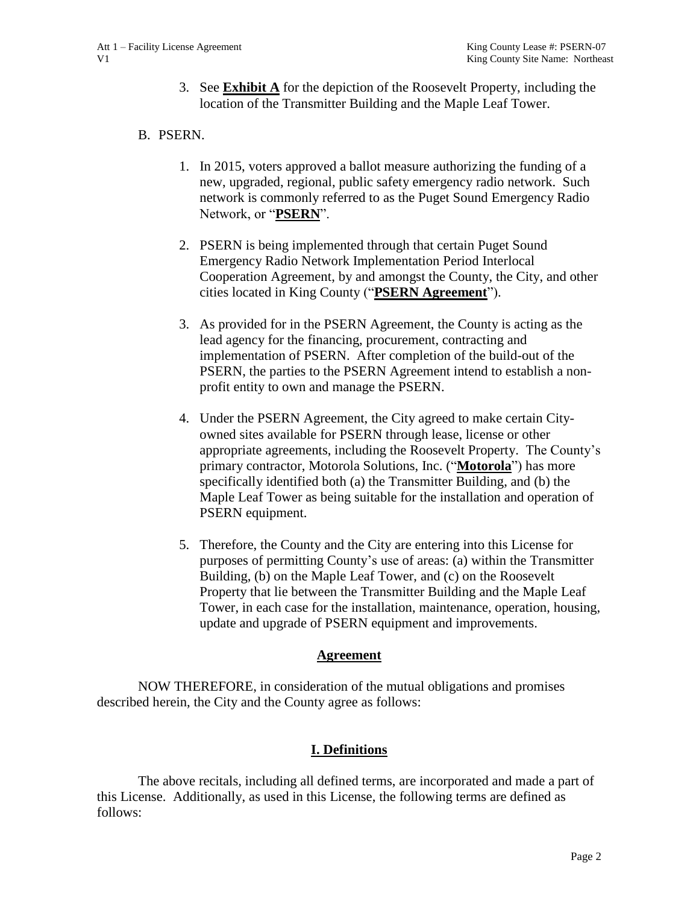3. See **Exhibit A** for the depiction of the Roosevelt Property, including the location of the Transmitter Building and the Maple Leaf Tower.

### B. PSERN.

- 1. In 2015, voters approved a ballot measure authorizing the funding of a new, upgraded, regional, public safety emergency radio network. Such network is commonly referred to as the Puget Sound Emergency Radio Network, or "**PSERN**".
- 2. PSERN is being implemented through that certain Puget Sound Emergency Radio Network Implementation Period Interlocal Cooperation Agreement, by and amongst the County, the City, and other cities located in King County ("**PSERN Agreement**").
- 3. As provided for in the PSERN Agreement, the County is acting as the lead agency for the financing, procurement, contracting and implementation of PSERN. After completion of the build-out of the PSERN, the parties to the PSERN Agreement intend to establish a nonprofit entity to own and manage the PSERN.
- 4. Under the PSERN Agreement, the City agreed to make certain Cityowned sites available for PSERN through lease, license or other appropriate agreements, including the Roosevelt Property. The County's primary contractor, Motorola Solutions, Inc. ("**Motorola**") has more specifically identified both (a) the Transmitter Building, and (b) the Maple Leaf Tower as being suitable for the installation and operation of PSERN equipment.
- 5. Therefore, the County and the City are entering into this License for purposes of permitting County's use of areas: (a) within the Transmitter Building, (b) on the Maple Leaf Tower, and (c) on the Roosevelt Property that lie between the Transmitter Building and the Maple Leaf Tower, in each case for the installation, maintenance, operation, housing, update and upgrade of PSERN equipment and improvements.

#### **Agreement**

NOW THEREFORE, in consideration of the mutual obligations and promises described herein, the City and the County agree as follows:

### **I. Definitions**

The above recitals, including all defined terms, are incorporated and made a part of this License. Additionally, as used in this License, the following terms are defined as follows: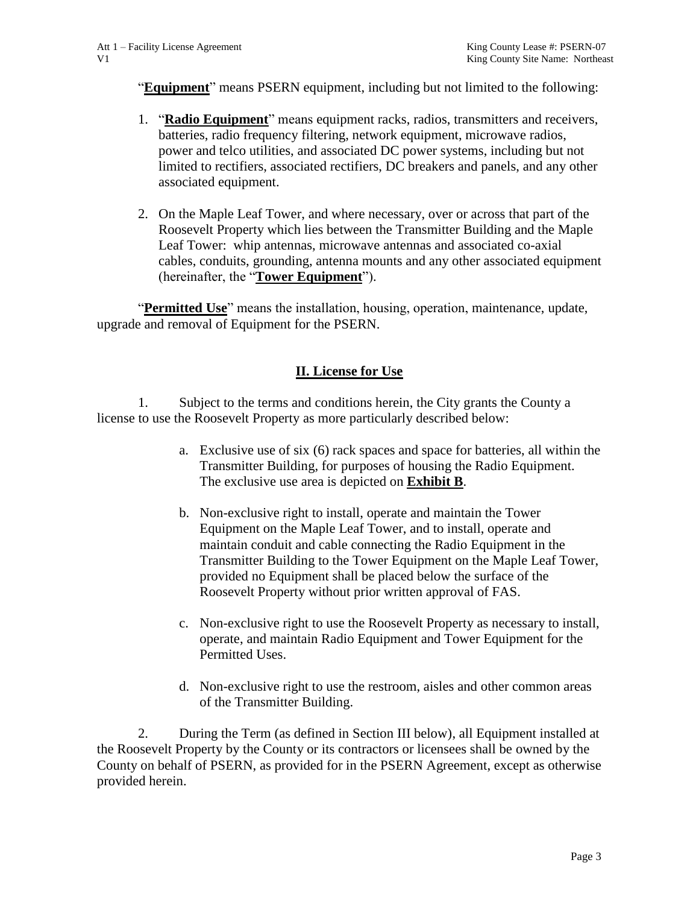"**Equipment**" means PSERN equipment, including but not limited to the following:

- 1. "**Radio Equipment**" means equipment racks, radios, transmitters and receivers, batteries, radio frequency filtering, network equipment, microwave radios, power and telco utilities, and associated DC power systems, including but not limited to rectifiers, associated rectifiers, DC breakers and panels, and any other associated equipment.
- 2. On the Maple Leaf Tower, and where necessary, over or across that part of the Roosevelt Property which lies between the Transmitter Building and the Maple Leaf Tower: whip antennas, microwave antennas and associated co-axial cables, conduits, grounding, antenna mounts and any other associated equipment (hereinafter, the "**Tower Equipment**").

"**Permitted Use**" means the installation, housing, operation, maintenance, update, upgrade and removal of Equipment for the PSERN.

### **II. License for Use**

1. Subject to the terms and conditions herein, the City grants the County a license to use the Roosevelt Property as more particularly described below:

- a. Exclusive use of six (6) rack spaces and space for batteries, all within the Transmitter Building, for purposes of housing the Radio Equipment. The exclusive use area is depicted on **Exhibit B**.
- b. Non-exclusive right to install, operate and maintain the Tower Equipment on the Maple Leaf Tower, and to install, operate and maintain conduit and cable connecting the Radio Equipment in the Transmitter Building to the Tower Equipment on the Maple Leaf Tower, provided no Equipment shall be placed below the surface of the Roosevelt Property without prior written approval of FAS.
- c. Non-exclusive right to use the Roosevelt Property as necessary to install, operate, and maintain Radio Equipment and Tower Equipment for the Permitted Uses.
- d. Non-exclusive right to use the restroom, aisles and other common areas of the Transmitter Building.

2. During the Term (as defined in Section III below), all Equipment installed at the Roosevelt Property by the County or its contractors or licensees shall be owned by the County on behalf of PSERN, as provided for in the PSERN Agreement, except as otherwise provided herein.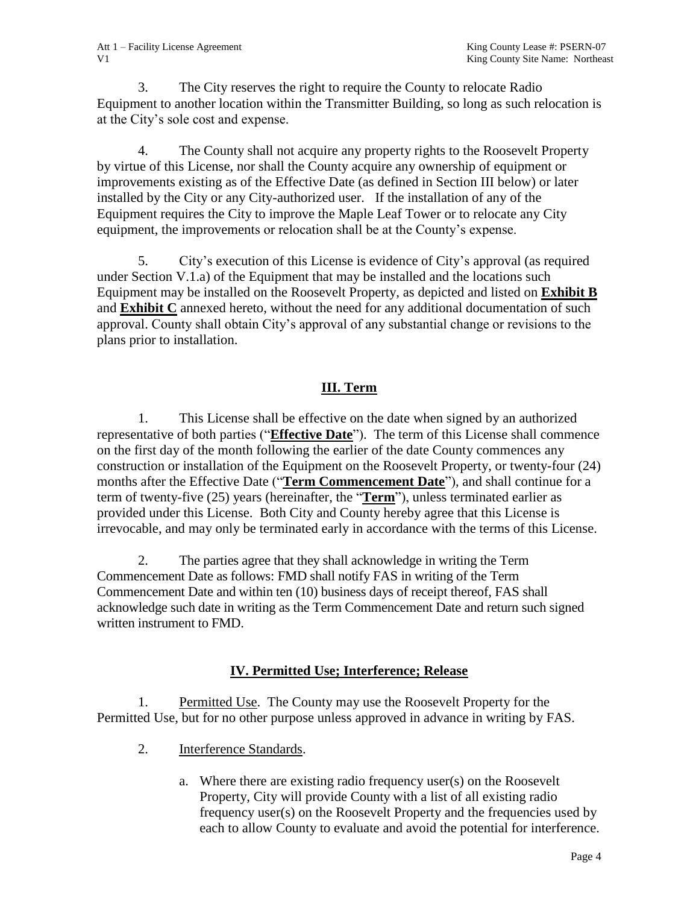3. The City reserves the right to require the County to relocate Radio Equipment to another location within the Transmitter Building, so long as such relocation is at the City's sole cost and expense.

4. The County shall not acquire any property rights to the Roosevelt Property by virtue of this License, nor shall the County acquire any ownership of equipment or improvements existing as of the Effective Date (as defined in Section III below) or later installed by the City or any City-authorized user. If the installation of any of the Equipment requires the City to improve the Maple Leaf Tower or to relocate any City equipment, the improvements or relocation shall be at the County's expense.

5. City's execution of this License is evidence of City's approval (as required under Section V.1.a) of the Equipment that may be installed and the locations such Equipment may be installed on the Roosevelt Property, as depicted and listed on **Exhibit B** and **Exhibit C** annexed hereto, without the need for any additional documentation of such approval. County shall obtain City's approval of any substantial change or revisions to the plans prior to installation.

## **III. Term**

1. This License shall be effective on the date when signed by an authorized representative of both parties ("**Effective Date**"). The term of this License shall commence on the first day of the month following the earlier of the date County commences any construction or installation of the Equipment on the Roosevelt Property, or twenty-four (24) months after the Effective Date ("**Term Commencement Date**"), and shall continue for a term of twenty-five (25) years (hereinafter, the "**Term**"), unless terminated earlier as provided under this License. Both City and County hereby agree that this License is irrevocable, and may only be terminated early in accordance with the terms of this License.

2. The parties agree that they shall acknowledge in writing the Term Commencement Date as follows: FMD shall notify FAS in writing of the Term Commencement Date and within ten (10) business days of receipt thereof, FAS shall acknowledge such date in writing as the Term Commencement Date and return such signed written instrument to FMD.

### **IV. Permitted Use; Interference; Release**

1. Permitted Use. The County may use the Roosevelt Property for the Permitted Use, but for no other purpose unless approved in advance in writing by FAS.

- 2. Interference Standards.
	- a. Where there are existing radio frequency user(s) on the Roosevelt Property, City will provide County with a list of all existing radio frequency user(s) on the Roosevelt Property and the frequencies used by each to allow County to evaluate and avoid the potential for interference.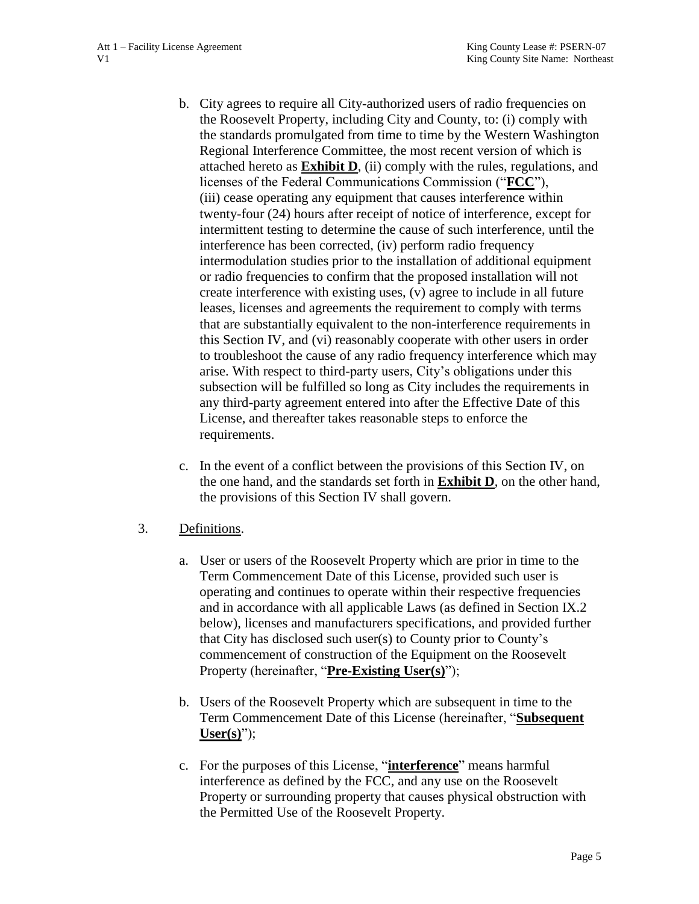- b. City agrees to require all City-authorized users of radio frequencies on the Roosevelt Property, including City and County, to: (i) comply with the standards promulgated from time to time by the Western Washington Regional Interference Committee, the most recent version of which is attached hereto as **Exhibit D**, (ii) comply with the rules, regulations, and licenses of the Federal Communications Commission ("**FCC**"), (iii) cease operating any equipment that causes interference within twenty-four (24) hours after receipt of notice of interference, except for intermittent testing to determine the cause of such interference, until the interference has been corrected, (iv) perform radio frequency intermodulation studies prior to the installation of additional equipment or radio frequencies to confirm that the proposed installation will not create interference with existing uses, (v) agree to include in all future leases, licenses and agreements the requirement to comply with terms that are substantially equivalent to the non-interference requirements in this Section IV, and (vi) reasonably cooperate with other users in order to troubleshoot the cause of any radio frequency interference which may arise. With respect to third-party users, City's obligations under this subsection will be fulfilled so long as City includes the requirements in any third-party agreement entered into after the Effective Date of this License, and thereafter takes reasonable steps to enforce the requirements.
- c. In the event of a conflict between the provisions of this Section IV, on the one hand, and the standards set forth in **Exhibit D**, on the other hand, the provisions of this Section IV shall govern.
- 3. Definitions.
	- a. User or users of the Roosevelt Property which are prior in time to the Term Commencement Date of this License, provided such user is operating and continues to operate within their respective frequencies and in accordance with all applicable Laws (as defined in Section IX.2 below), licenses and manufacturers specifications, and provided further that City has disclosed such user(s) to County prior to County's commencement of construction of the Equipment on the Roosevelt Property (hereinafter, "**Pre-Existing User(s)**");
	- b. Users of the Roosevelt Property which are subsequent in time to the Term Commencement Date of this License (hereinafter, "**Subsequent User(s)**");
	- c. For the purposes of this License, "**interference**" means harmful interference as defined by the FCC, and any use on the Roosevelt Property or surrounding property that causes physical obstruction with the Permitted Use of the Roosevelt Property.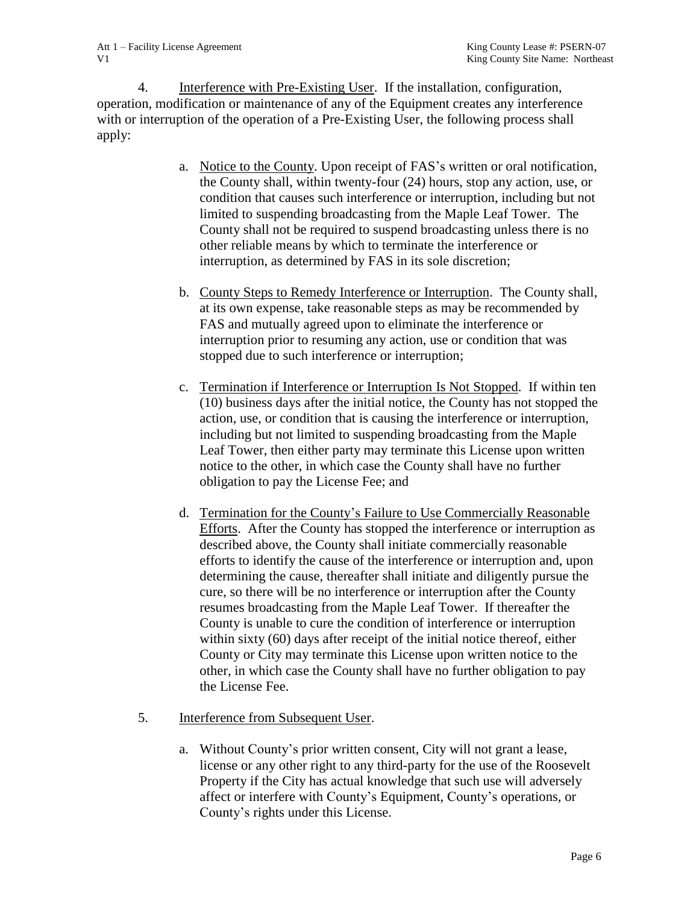4. Interference with Pre-Existing User. If the installation, configuration, operation, modification or maintenance of any of the Equipment creates any interference with or interruption of the operation of a Pre-Existing User, the following process shall apply:

- a. Notice to the County. Upon receipt of FAS's written or oral notification, the County shall, within twenty-four (24) hours, stop any action, use, or condition that causes such interference or interruption, including but not limited to suspending broadcasting from the Maple Leaf Tower. The County shall not be required to suspend broadcasting unless there is no other reliable means by which to terminate the interference or interruption, as determined by FAS in its sole discretion;
- b. County Steps to Remedy Interference or Interruption. The County shall, at its own expense, take reasonable steps as may be recommended by FAS and mutually agreed upon to eliminate the interference or interruption prior to resuming any action, use or condition that was stopped due to such interference or interruption;
- c. Termination if Interference or Interruption Is Not Stopped. If within ten (10) business days after the initial notice, the County has not stopped the action, use, or condition that is causing the interference or interruption, including but not limited to suspending broadcasting from the Maple Leaf Tower, then either party may terminate this License upon written notice to the other, in which case the County shall have no further obligation to pay the License Fee; and
- d. Termination for the County's Failure to Use Commercially Reasonable Efforts. After the County has stopped the interference or interruption as described above, the County shall initiate commercially reasonable efforts to identify the cause of the interference or interruption and, upon determining the cause, thereafter shall initiate and diligently pursue the cure, so there will be no interference or interruption after the County resumes broadcasting from the Maple Leaf Tower. If thereafter the County is unable to cure the condition of interference or interruption within sixty (60) days after receipt of the initial notice thereof, either County or City may terminate this License upon written notice to the other, in which case the County shall have no further obligation to pay the License Fee.
- 5. Interference from Subsequent User.
	- a. Without County's prior written consent, City will not grant a lease, license or any other right to any third-party for the use of the Roosevelt Property if the City has actual knowledge that such use will adversely affect or interfere with County's Equipment, County's operations, or County's rights under this License.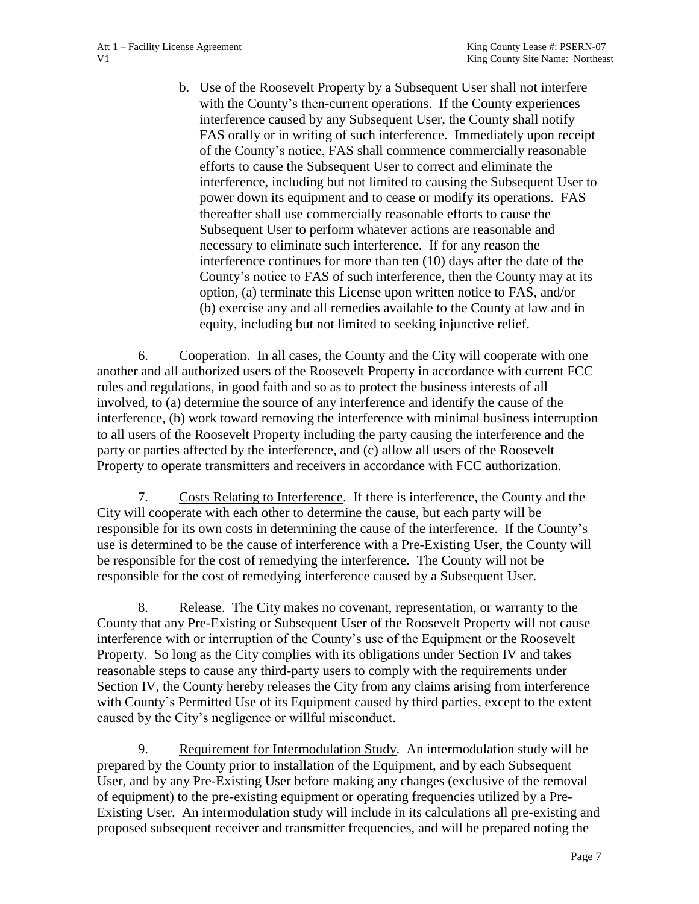b. Use of the Roosevelt Property by a Subsequent User shall not interfere with the County's then-current operations. If the County experiences interference caused by any Subsequent User, the County shall notify FAS orally or in writing of such interference. Immediately upon receipt of the County's notice, FAS shall commence commercially reasonable efforts to cause the Subsequent User to correct and eliminate the interference, including but not limited to causing the Subsequent User to power down its equipment and to cease or modify its operations. FAS thereafter shall use commercially reasonable efforts to cause the Subsequent User to perform whatever actions are reasonable and necessary to eliminate such interference. If for any reason the interference continues for more than ten (10) days after the date of the County's notice to FAS of such interference, then the County may at its option, (a) terminate this License upon written notice to FAS, and/or (b) exercise any and all remedies available to the County at law and in equity, including but not limited to seeking injunctive relief.

6. Cooperation. In all cases, the County and the City will cooperate with one another and all authorized users of the Roosevelt Property in accordance with current FCC rules and regulations, in good faith and so as to protect the business interests of all involved, to (a) determine the source of any interference and identify the cause of the interference, (b) work toward removing the interference with minimal business interruption to all users of the Roosevelt Property including the party causing the interference and the party or parties affected by the interference, and (c) allow all users of the Roosevelt Property to operate transmitters and receivers in accordance with FCC authorization.

7. Costs Relating to Interference. If there is interference, the County and the City will cooperate with each other to determine the cause, but each party will be responsible for its own costs in determining the cause of the interference. If the County's use is determined to be the cause of interference with a Pre-Existing User, the County will be responsible for the cost of remedying the interference. The County will not be responsible for the cost of remedying interference caused by a Subsequent User.

8. Release. The City makes no covenant, representation, or warranty to the County that any Pre-Existing or Subsequent User of the Roosevelt Property will not cause interference with or interruption of the County's use of the Equipment or the Roosevelt Property. So long as the City complies with its obligations under Section IV and takes reasonable steps to cause any third-party users to comply with the requirements under Section IV, the County hereby releases the City from any claims arising from interference with County's Permitted Use of its Equipment caused by third parties, except to the extent caused by the City's negligence or willful misconduct.

9. Requirement for Intermodulation Study. An intermodulation study will be prepared by the County prior to installation of the Equipment, and by each Subsequent User, and by any Pre-Existing User before making any changes (exclusive of the removal of equipment) to the pre-existing equipment or operating frequencies utilized by a Pre-Existing User. An intermodulation study will include in its calculations all pre-existing and proposed subsequent receiver and transmitter frequencies, and will be prepared noting the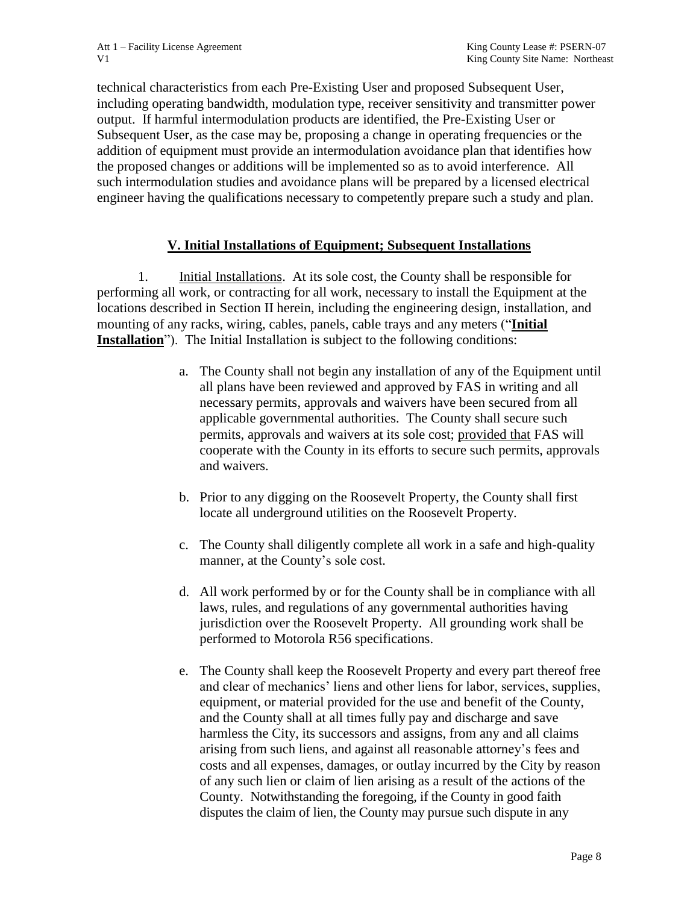technical characteristics from each Pre-Existing User and proposed Subsequent User, including operating bandwidth, modulation type, receiver sensitivity and transmitter power output. If harmful intermodulation products are identified, the Pre-Existing User or Subsequent User, as the case may be, proposing a change in operating frequencies or the addition of equipment must provide an intermodulation avoidance plan that identifies how the proposed changes or additions will be implemented so as to avoid interference. All such intermodulation studies and avoidance plans will be prepared by a licensed electrical engineer having the qualifications necessary to competently prepare such a study and plan.

## **V. Initial Installations of Equipment; Subsequent Installations**

1. Initial Installations. At its sole cost, the County shall be responsible for performing all work, or contracting for all work, necessary to install the Equipment at the locations described in Section II herein, including the engineering design, installation, and mounting of any racks, wiring, cables, panels, cable trays and any meters ("**Initial Installation**"). The Initial Installation is subject to the following conditions:

- a. The County shall not begin any installation of any of the Equipment until all plans have been reviewed and approved by FAS in writing and all necessary permits, approvals and waivers have been secured from all applicable governmental authorities. The County shall secure such permits, approvals and waivers at its sole cost; provided that FAS will cooperate with the County in its efforts to secure such permits, approvals and waivers.
- b. Prior to any digging on the Roosevelt Property, the County shall first locate all underground utilities on the Roosevelt Property.
- c. The County shall diligently complete all work in a safe and high-quality manner, at the County's sole cost.
- d. All work performed by or for the County shall be in compliance with all laws, rules, and regulations of any governmental authorities having jurisdiction over the Roosevelt Property. All grounding work shall be performed to Motorola R56 specifications.
- e. The County shall keep the Roosevelt Property and every part thereof free and clear of mechanics' liens and other liens for labor, services, supplies, equipment, or material provided for the use and benefit of the County, and the County shall at all times fully pay and discharge and save harmless the City, its successors and assigns, from any and all claims arising from such liens, and against all reasonable attorney's fees and costs and all expenses, damages, or outlay incurred by the City by reason of any such lien or claim of lien arising as a result of the actions of the County. Notwithstanding the foregoing, if the County in good faith disputes the claim of lien, the County may pursue such dispute in any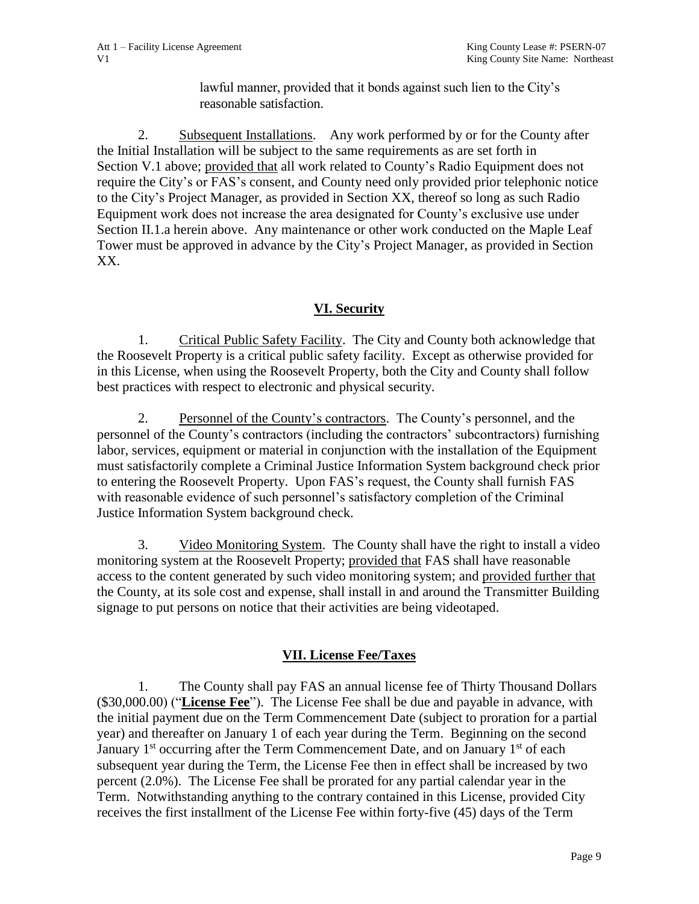lawful manner, provided that it bonds against such lien to the City's reasonable satisfaction.

2. Subsequent Installations. Any work performed by or for the County after the Initial Installation will be subject to the same requirements as are set forth in Section V.1 above; provided that all work related to County's Radio Equipment does not require the City's or FAS's consent, and County need only provided prior telephonic notice to the City's Project Manager, as provided in Section XX, thereof so long as such Radio Equipment work does not increase the area designated for County's exclusive use under Section II.1.a herein above. Any maintenance or other work conducted on the Maple Leaf Tower must be approved in advance by the City's Project Manager, as provided in Section XX.

# **VI. Security**

1. Critical Public Safety Facility. The City and County both acknowledge that the Roosevelt Property is a critical public safety facility. Except as otherwise provided for in this License, when using the Roosevelt Property, both the City and County shall follow best practices with respect to electronic and physical security.

2. Personnel of the County's contractors. The County's personnel, and the personnel of the County's contractors (including the contractors' subcontractors) furnishing labor, services, equipment or material in conjunction with the installation of the Equipment must satisfactorily complete a Criminal Justice Information System background check prior to entering the Roosevelt Property. Upon FAS's request, the County shall furnish FAS with reasonable evidence of such personnel's satisfactory completion of the Criminal Justice Information System background check.

3. Video Monitoring System. The County shall have the right to install a video monitoring system at the Roosevelt Property; provided that FAS shall have reasonable access to the content generated by such video monitoring system; and provided further that the County, at its sole cost and expense, shall install in and around the Transmitter Building signage to put persons on notice that their activities are being videotaped.

# **VII. License Fee/Taxes**

1. The County shall pay FAS an annual license fee of Thirty Thousand Dollars (\$30,000.00) ("**License Fee**"). The License Fee shall be due and payable in advance, with the initial payment due on the Term Commencement Date (subject to proration for a partial year) and thereafter on January 1 of each year during the Term. Beginning on the second January 1<sup>st</sup> occurring after the Term Commencement Date, and on January 1<sup>st</sup> of each subsequent year during the Term, the License Fee then in effect shall be increased by two percent (2.0%). The License Fee shall be prorated for any partial calendar year in the Term. Notwithstanding anything to the contrary contained in this License, provided City receives the first installment of the License Fee within forty-five (45) days of the Term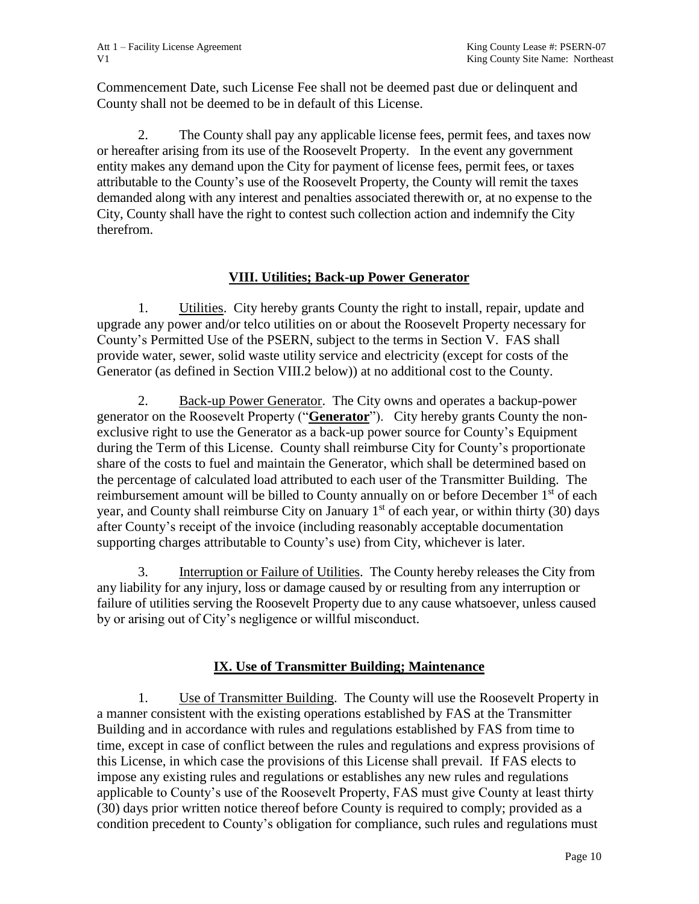Commencement Date, such License Fee shall not be deemed past due or delinquent and County shall not be deemed to be in default of this License.

2. The County shall pay any applicable license fees, permit fees, and taxes now or hereafter arising from its use of the Roosevelt Property. In the event any government entity makes any demand upon the City for payment of license fees, permit fees, or taxes attributable to the County's use of the Roosevelt Property, the County will remit the taxes demanded along with any interest and penalties associated therewith or, at no expense to the City, County shall have the right to contest such collection action and indemnify the City therefrom.

## **VIII. Utilities; Back-up Power Generator**

1. Utilities. City hereby grants County the right to install, repair, update and upgrade any power and/or telco utilities on or about the Roosevelt Property necessary for County's Permitted Use of the PSERN, subject to the terms in Section V. FAS shall provide water, sewer, solid waste utility service and electricity (except for costs of the Generator (as defined in Section VIII.2 below)) at no additional cost to the County.

2. Back-up Power Generator. The City owns and operates a backup-power generator on the Roosevelt Property ("**Generator**"). City hereby grants County the nonexclusive right to use the Generator as a back-up power source for County's Equipment during the Term of this License. County shall reimburse City for County's proportionate share of the costs to fuel and maintain the Generator, which shall be determined based on the percentage of calculated load attributed to each user of the Transmitter Building. The reimbursement amount will be billed to County annually on or before December 1<sup>st</sup> of each year, and County shall reimburse City on January  $1<sup>st</sup>$  of each year, or within thirty (30) days after County's receipt of the invoice (including reasonably acceptable documentation supporting charges attributable to County's use) from City, whichever is later.

3. Interruption or Failure of Utilities. The County hereby releases the City from any liability for any injury, loss or damage caused by or resulting from any interruption or failure of utilities serving the Roosevelt Property due to any cause whatsoever, unless caused by or arising out of City's negligence or willful misconduct.

# **IX. Use of Transmitter Building; Maintenance**

1. Use of Transmitter Building. The County will use the Roosevelt Property in a manner consistent with the existing operations established by FAS at the Transmitter Building and in accordance with rules and regulations established by FAS from time to time, except in case of conflict between the rules and regulations and express provisions of this License, in which case the provisions of this License shall prevail. If FAS elects to impose any existing rules and regulations or establishes any new rules and regulations applicable to County's use of the Roosevelt Property, FAS must give County at least thirty (30) days prior written notice thereof before County is required to comply; provided as a condition precedent to County's obligation for compliance, such rules and regulations must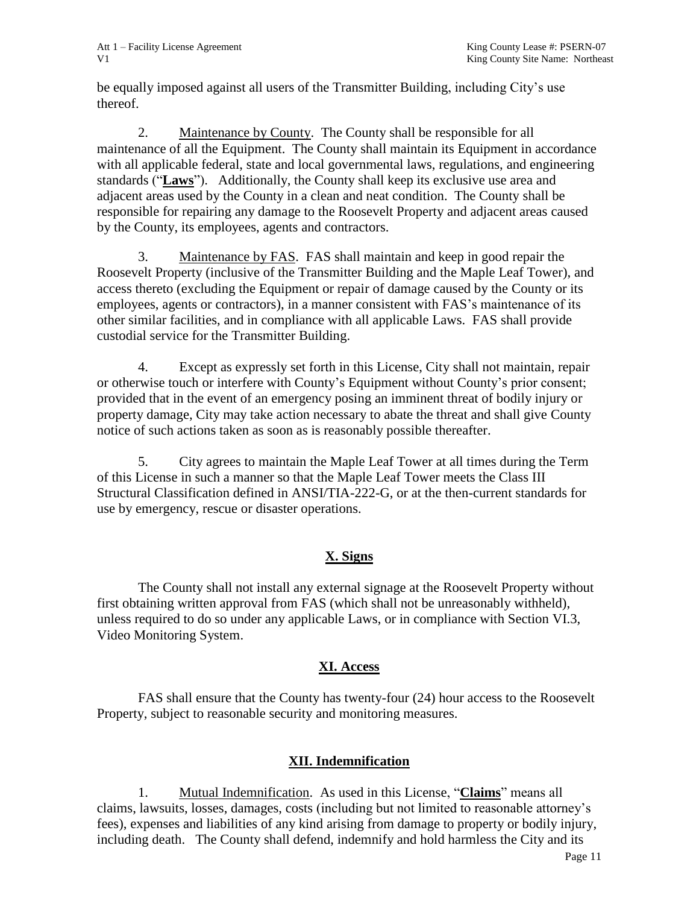be equally imposed against all users of the Transmitter Building, including City's use thereof.

2. Maintenance by County. The County shall be responsible for all maintenance of all the Equipment. The County shall maintain its Equipment in accordance with all applicable federal, state and local governmental laws, regulations, and engineering standards ("**Laws**"). Additionally, the County shall keep its exclusive use area and adjacent areas used by the County in a clean and neat condition. The County shall be responsible for repairing any damage to the Roosevelt Property and adjacent areas caused by the County, its employees, agents and contractors.

3. Maintenance by FAS. FAS shall maintain and keep in good repair the Roosevelt Property (inclusive of the Transmitter Building and the Maple Leaf Tower), and access thereto (excluding the Equipment or repair of damage caused by the County or its employees, agents or contractors), in a manner consistent with FAS's maintenance of its other similar facilities, and in compliance with all applicable Laws. FAS shall provide custodial service for the Transmitter Building.

4. Except as expressly set forth in this License, City shall not maintain, repair or otherwise touch or interfere with County's Equipment without County's prior consent; provided that in the event of an emergency posing an imminent threat of bodily injury or property damage, City may take action necessary to abate the threat and shall give County notice of such actions taken as soon as is reasonably possible thereafter.

5. City agrees to maintain the Maple Leaf Tower at all times during the Term of this License in such a manner so that the Maple Leaf Tower meets the Class III Structural Classification defined in ANSI/TIA-222-G, or at the then-current standards for use by emergency, rescue or disaster operations.

# **X. Signs**

The County shall not install any external signage at the Roosevelt Property without first obtaining written approval from FAS (which shall not be unreasonably withheld), unless required to do so under any applicable Laws, or in compliance with Section VI.3, Video Monitoring System.

# **XI. Access**

FAS shall ensure that the County has twenty-four (24) hour access to the Roosevelt Property, subject to reasonable security and monitoring measures.

### **XII. Indemnification**

1. Mutual Indemnification. As used in this License, "**Claims**" means all claims, lawsuits, losses, damages, costs (including but not limited to reasonable attorney's fees), expenses and liabilities of any kind arising from damage to property or bodily injury, including death. The County shall defend, indemnify and hold harmless the City and its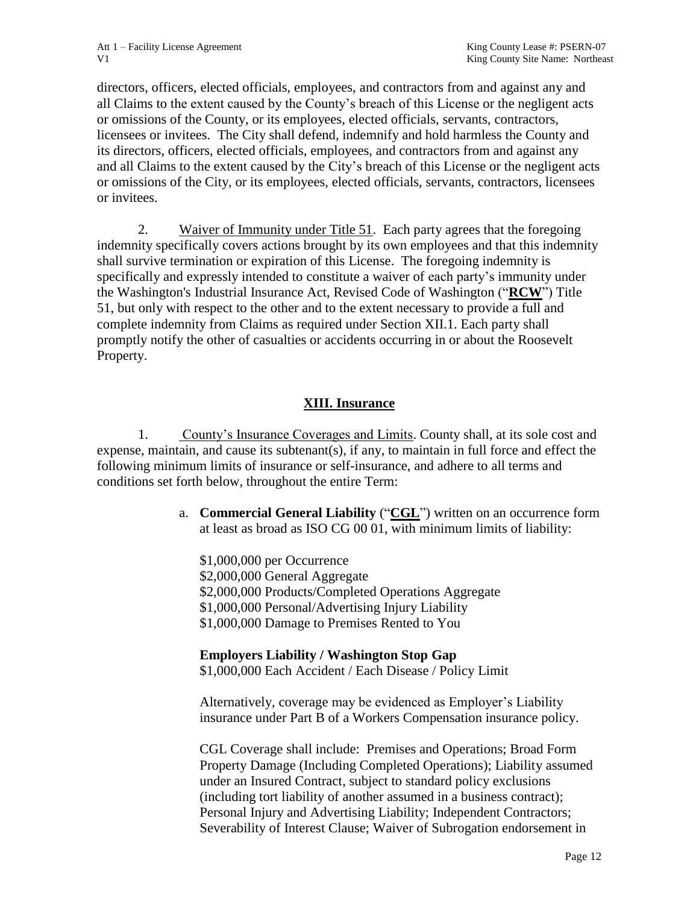directors, officers, elected officials, employees, and contractors from and against any and all Claims to the extent caused by the County's breach of this License or the negligent acts or omissions of the County, or its employees, elected officials, servants, contractors, licensees or invitees. The City shall defend, indemnify and hold harmless the County and its directors, officers, elected officials, employees, and contractors from and against any and all Claims to the extent caused by the City's breach of this License or the negligent acts or omissions of the City, or its employees, elected officials, servants, contractors, licensees or invitees.

2. Waiver of Immunity under Title 51. Each party agrees that the foregoing indemnity specifically covers actions brought by its own employees and that this indemnity shall survive termination or expiration of this License. The foregoing indemnity is specifically and expressly intended to constitute a waiver of each party's immunity under the Washington's Industrial Insurance Act, Revised Code of Washington ("**RCW**") Title 51, but only with respect to the other and to the extent necessary to provide a full and complete indemnity from Claims as required under Section XII.1. Each party shall promptly notify the other of casualties or accidents occurring in or about the Roosevelt Property.

### **XIII. Insurance**

1. County's Insurance Coverages and Limits. County shall, at its sole cost and expense, maintain, and cause its subtenant(s), if any, to maintain in full force and effect the following minimum limits of insurance or self-insurance, and adhere to all terms and conditions set forth below, throughout the entire Term:

> a. **Commercial General Liability** ("**CGL**") written on an occurrence form at least as broad as ISO CG 00 01, with minimum limits of liability:

\$1,000,000 per Occurrence \$2,000,000 General Aggregate \$2,000,000 Products/Completed Operations Aggregate \$1,000,000 Personal/Advertising Injury Liability \$1,000,000 Damage to Premises Rented to You

### **Employers Liability / Washington Stop Gap**

\$1,000,000 Each Accident / Each Disease / Policy Limit

Alternatively, coverage may be evidenced as Employer's Liability insurance under Part B of a Workers Compensation insurance policy.

CGL Coverage shall include: Premises and Operations; Broad Form Property Damage (Including Completed Operations); Liability assumed under an Insured Contract, subject to standard policy exclusions (including tort liability of another assumed in a business contract); Personal Injury and Advertising Liability; Independent Contractors; Severability of Interest Clause; Waiver of Subrogation endorsement in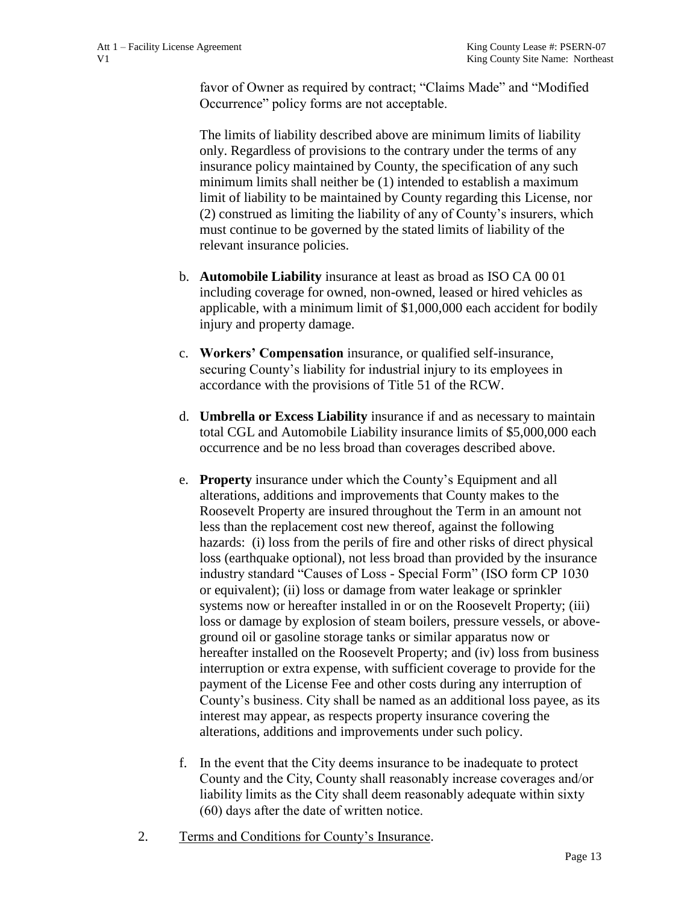favor of Owner as required by contract; "Claims Made" and "Modified Occurrence" policy forms are not acceptable.

The limits of liability described above are minimum limits of liability only. Regardless of provisions to the contrary under the terms of any insurance policy maintained by County, the specification of any such minimum limits shall neither be (1) intended to establish a maximum limit of liability to be maintained by County regarding this License, nor (2) construed as limiting the liability of any of County's insurers, which must continue to be governed by the stated limits of liability of the relevant insurance policies.

- b. **Automobile Liability** insurance at least as broad as ISO CA 00 01 including coverage for owned, non-owned, leased or hired vehicles as applicable, with a minimum limit of \$1,000,000 each accident for bodily injury and property damage.
- c. **Workers' Compensation** insurance, or qualified self-insurance, securing County's liability for industrial injury to its employees in accordance with the provisions of Title 51 of the RCW.
- d. **Umbrella or Excess Liability** insurance if and as necessary to maintain total CGL and Automobile Liability insurance limits of \$5,000,000 each occurrence and be no less broad than coverages described above.
- e. **Property** insurance under which the County's Equipment and all alterations, additions and improvements that County makes to the Roosevelt Property are insured throughout the Term in an amount not less than the replacement cost new thereof, against the following hazards: (i) loss from the perils of fire and other risks of direct physical loss (earthquake optional), not less broad than provided by the insurance industry standard "Causes of Loss - Special Form" (ISO form CP 1030 or equivalent); (ii) loss or damage from water leakage or sprinkler systems now or hereafter installed in or on the Roosevelt Property; (iii) loss or damage by explosion of steam boilers, pressure vessels, or aboveground oil or gasoline storage tanks or similar apparatus now or hereafter installed on the Roosevelt Property; and (iv) loss from business interruption or extra expense, with sufficient coverage to provide for the payment of the License Fee and other costs during any interruption of County's business. City shall be named as an additional loss payee, as its interest may appear, as respects property insurance covering the alterations, additions and improvements under such policy.
- f. In the event that the City deems insurance to be inadequate to protect County and the City, County shall reasonably increase coverages and/or liability limits as the City shall deem reasonably adequate within sixty (60) days after the date of written notice.
- 2. Terms and Conditions for County's Insurance.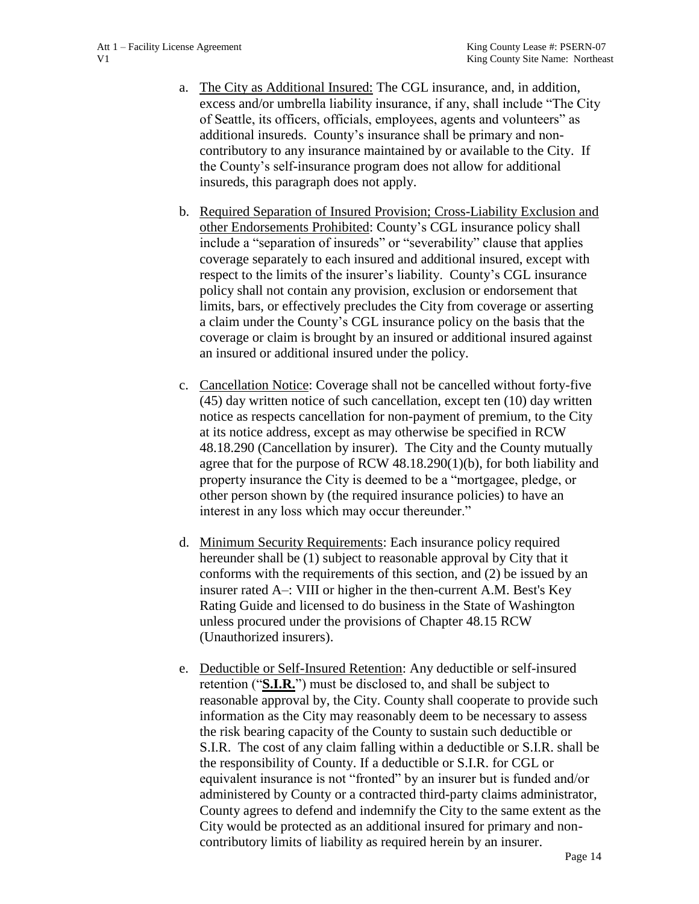- a. The City as Additional Insured: The CGL insurance, and, in addition, excess and/or umbrella liability insurance, if any, shall include "The City of Seattle, its officers, officials, employees, agents and volunteers" as additional insureds. County's insurance shall be primary and noncontributory to any insurance maintained by or available to the City. If the County's self-insurance program does not allow for additional insureds, this paragraph does not apply.
- b. Required Separation of Insured Provision; Cross-Liability Exclusion and other Endorsements Prohibited: County's CGL insurance policy shall include a "separation of insureds" or "severability" clause that applies coverage separately to each insured and additional insured, except with respect to the limits of the insurer's liability. County's CGL insurance policy shall not contain any provision, exclusion or endorsement that limits, bars, or effectively precludes the City from coverage or asserting a claim under the County's CGL insurance policy on the basis that the coverage or claim is brought by an insured or additional insured against an insured or additional insured under the policy.
- c. Cancellation Notice: Coverage shall not be cancelled without forty-five (45) day written notice of such cancellation, except ten (10) day written notice as respects cancellation for non-payment of premium, to the City at its notice address, except as may otherwise be specified in RCW 48.18.290 (Cancellation by insurer). The City and the County mutually agree that for the purpose of RCW 48.18.290(1)(b), for both liability and property insurance the City is deemed to be a "mortgagee, pledge, or other person shown by (the required insurance policies) to have an interest in any loss which may occur thereunder."
- d. Minimum Security Requirements: Each insurance policy required hereunder shall be (1) subject to reasonable approval by City that it conforms with the requirements of this section, and (2) be issued by an insurer rated A–: VIII or higher in the then-current A.M. Best's Key Rating Guide and licensed to do business in the State of Washington unless procured under the provisions of Chapter 48.15 RCW (Unauthorized insurers).
- e. Deductible or Self-Insured Retention: Any deductible or self-insured retention ("**S.I.R.**") must be disclosed to, and shall be subject to reasonable approval by, the City. County shall cooperate to provide such information as the City may reasonably deem to be necessary to assess the risk bearing capacity of the County to sustain such deductible or S.I.R. The cost of any claim falling within a deductible or S.I.R. shall be the responsibility of County. If a deductible or S.I.R. for CGL or equivalent insurance is not "fronted" by an insurer but is funded and/or administered by County or a contracted third-party claims administrator, County agrees to defend and indemnify the City to the same extent as the City would be protected as an additional insured for primary and noncontributory limits of liability as required herein by an insurer.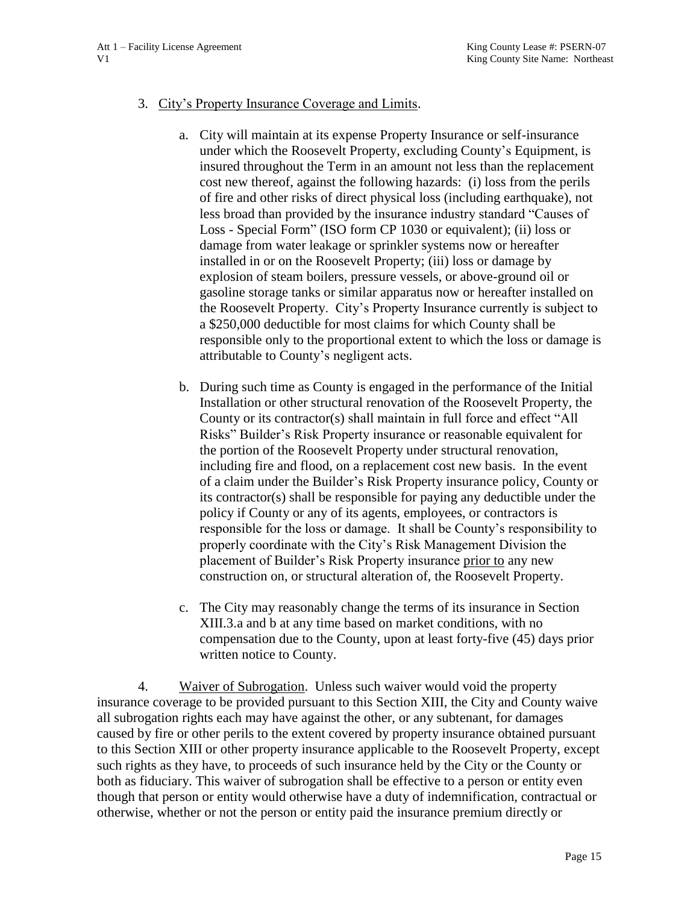#### 3. City's Property Insurance Coverage and Limits.

- a. City will maintain at its expense Property Insurance or self-insurance under which the Roosevelt Property, excluding County's Equipment, is insured throughout the Term in an amount not less than the replacement cost new thereof, against the following hazards: (i) loss from the perils of fire and other risks of direct physical loss (including earthquake), not less broad than provided by the insurance industry standard "Causes of Loss - Special Form" (ISO form CP 1030 or equivalent); (ii) loss or damage from water leakage or sprinkler systems now or hereafter installed in or on the Roosevelt Property; (iii) loss or damage by explosion of steam boilers, pressure vessels, or above-ground oil or gasoline storage tanks or similar apparatus now or hereafter installed on the Roosevelt Property. City's Property Insurance currently is subject to a \$250,000 deductible for most claims for which County shall be responsible only to the proportional extent to which the loss or damage is attributable to County's negligent acts.
- b. During such time as County is engaged in the performance of the Initial Installation or other structural renovation of the Roosevelt Property, the County or its contractor(s) shall maintain in full force and effect "All Risks" Builder's Risk Property insurance or reasonable equivalent for the portion of the Roosevelt Property under structural renovation, including fire and flood, on a replacement cost new basis. In the event of a claim under the Builder's Risk Property insurance policy, County or its contractor(s) shall be responsible for paying any deductible under the policy if County or any of its agents, employees, or contractors is responsible for the loss or damage. It shall be County's responsibility to properly coordinate with the City's Risk Management Division the placement of Builder's Risk Property insurance prior to any new construction on, or structural alteration of, the Roosevelt Property.
- c. The City may reasonably change the terms of its insurance in Section XIII.3.a and b at any time based on market conditions, with no compensation due to the County, upon at least forty-five (45) days prior written notice to County.

4. Waiver of Subrogation. Unless such waiver would void the property insurance coverage to be provided pursuant to this Section XIII, the City and County waive all subrogation rights each may have against the other, or any subtenant, for damages caused by fire or other perils to the extent covered by property insurance obtained pursuant to this Section XIII or other property insurance applicable to the Roosevelt Property, except such rights as they have, to proceeds of such insurance held by the City or the County or both as fiduciary. This waiver of subrogation shall be effective to a person or entity even though that person or entity would otherwise have a duty of indemnification, contractual or otherwise, whether or not the person or entity paid the insurance premium directly or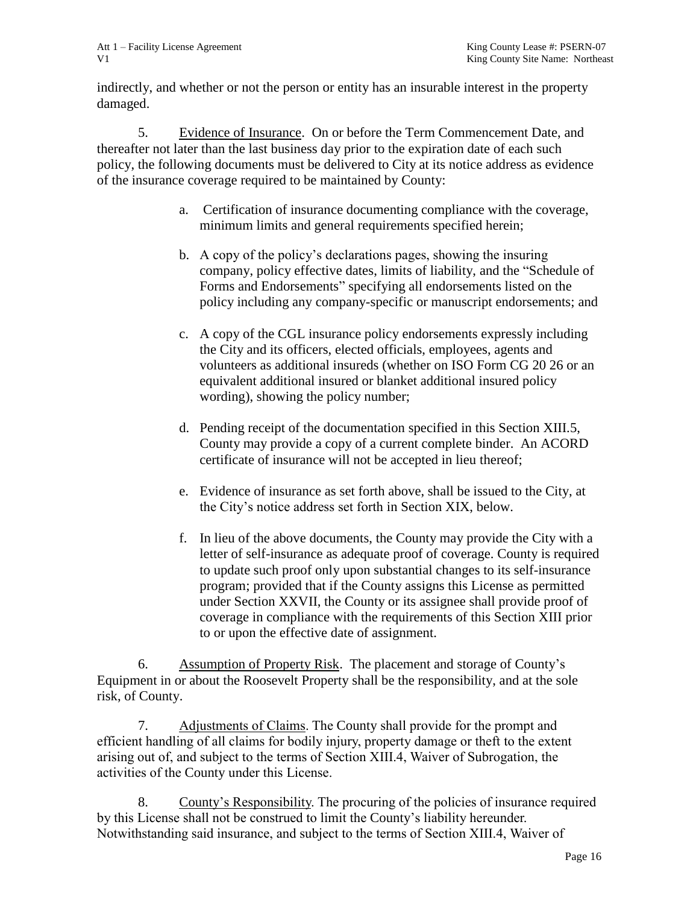indirectly, and whether or not the person or entity has an insurable interest in the property damaged.

5. Evidence of Insurance. On or before the Term Commencement Date, and thereafter not later than the last business day prior to the expiration date of each such policy, the following documents must be delivered to City at its notice address as evidence of the insurance coverage required to be maintained by County:

- a. Certification of insurance documenting compliance with the coverage, minimum limits and general requirements specified herein;
- b. A copy of the policy's declarations pages, showing the insuring company, policy effective dates, limits of liability, and the "Schedule of Forms and Endorsements" specifying all endorsements listed on the policy including any company-specific or manuscript endorsements; and
- c. A copy of the CGL insurance policy endorsements expressly including the City and its officers, elected officials, employees, agents and volunteers as additional insureds (whether on ISO Form CG 20 26 or an equivalent additional insured or blanket additional insured policy wording), showing the policy number;
- d. Pending receipt of the documentation specified in this Section XIII.5, County may provide a copy of a current complete binder. An ACORD certificate of insurance will not be accepted in lieu thereof;
- e. Evidence of insurance as set forth above, shall be issued to the City, at the City's notice address set forth in Section XIX, below.
- f. In lieu of the above documents, the County may provide the City with a letter of self-insurance as adequate proof of coverage. County is required to update such proof only upon substantial changes to its self-insurance program; provided that if the County assigns this License as permitted under Section XXVII, the County or its assignee shall provide proof of coverage in compliance with the requirements of this Section XIII prior to or upon the effective date of assignment.

6. Assumption of Property Risk. The placement and storage of County's Equipment in or about the Roosevelt Property shall be the responsibility, and at the sole risk, of County.

7. Adjustments of Claims. The County shall provide for the prompt and efficient handling of all claims for bodily injury, property damage or theft to the extent arising out of, and subject to the terms of Section XIII.4, Waiver of Subrogation, the activities of the County under this License.

8. County's Responsibility. The procuring of the policies of insurance required by this License shall not be construed to limit the County's liability hereunder. Notwithstanding said insurance, and subject to the terms of Section XIII.4, Waiver of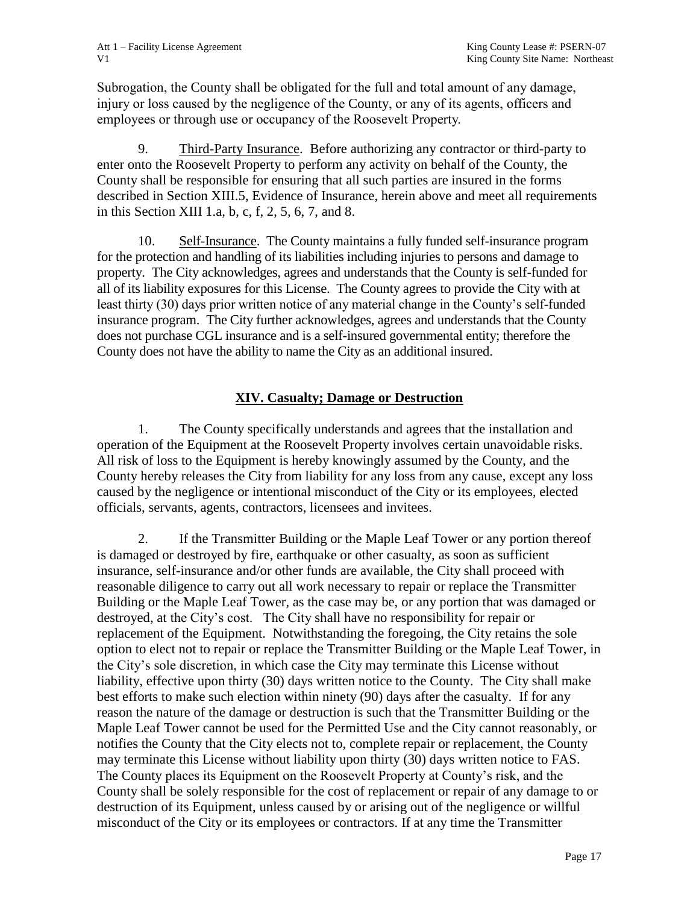Subrogation, the County shall be obligated for the full and total amount of any damage, injury or loss caused by the negligence of the County, or any of its agents, officers and employees or through use or occupancy of the Roosevelt Property.

9. Third-Party Insurance. Before authorizing any contractor or third-party to enter onto the Roosevelt Property to perform any activity on behalf of the County, the County shall be responsible for ensuring that all such parties are insured in the forms described in Section XIII.5, Evidence of Insurance, herein above and meet all requirements in this Section XIII 1.a, b, c, f, 2, 5, 6, 7, and 8.

10. Self-Insurance. The County maintains a fully funded self-insurance program for the protection and handling of its liabilities including injuries to persons and damage to property. The City acknowledges, agrees and understands that the County is self-funded for all of its liability exposures for this License. The County agrees to provide the City with at least thirty (30) days prior written notice of any material change in the County's self-funded insurance program. The City further acknowledges, agrees and understands that the County does not purchase CGL insurance and is a self-insured governmental entity; therefore the County does not have the ability to name the City as an additional insured.

### **XIV. Casualty; Damage or Destruction**

1. The County specifically understands and agrees that the installation and operation of the Equipment at the Roosevelt Property involves certain unavoidable risks. All risk of loss to the Equipment is hereby knowingly assumed by the County, and the County hereby releases the City from liability for any loss from any cause, except any loss caused by the negligence or intentional misconduct of the City or its employees, elected officials, servants, agents, contractors, licensees and invitees.

2. If the Transmitter Building or the Maple Leaf Tower or any portion thereof is damaged or destroyed by fire, earthquake or other casualty, as soon as sufficient insurance, self-insurance and/or other funds are available, the City shall proceed with reasonable diligence to carry out all work necessary to repair or replace the Transmitter Building or the Maple Leaf Tower, as the case may be, or any portion that was damaged or destroyed, at the City's cost. The City shall have no responsibility for repair or replacement of the Equipment. Notwithstanding the foregoing, the City retains the sole option to elect not to repair or replace the Transmitter Building or the Maple Leaf Tower, in the City's sole discretion, in which case the City may terminate this License without liability, effective upon thirty (30) days written notice to the County. The City shall make best efforts to make such election within ninety (90) days after the casualty. If for any reason the nature of the damage or destruction is such that the Transmitter Building or the Maple Leaf Tower cannot be used for the Permitted Use and the City cannot reasonably, or notifies the County that the City elects not to, complete repair or replacement, the County may terminate this License without liability upon thirty (30) days written notice to FAS. The County places its Equipment on the Roosevelt Property at County's risk, and the County shall be solely responsible for the cost of replacement or repair of any damage to or destruction of its Equipment, unless caused by or arising out of the negligence or willful misconduct of the City or its employees or contractors. If at any time the Transmitter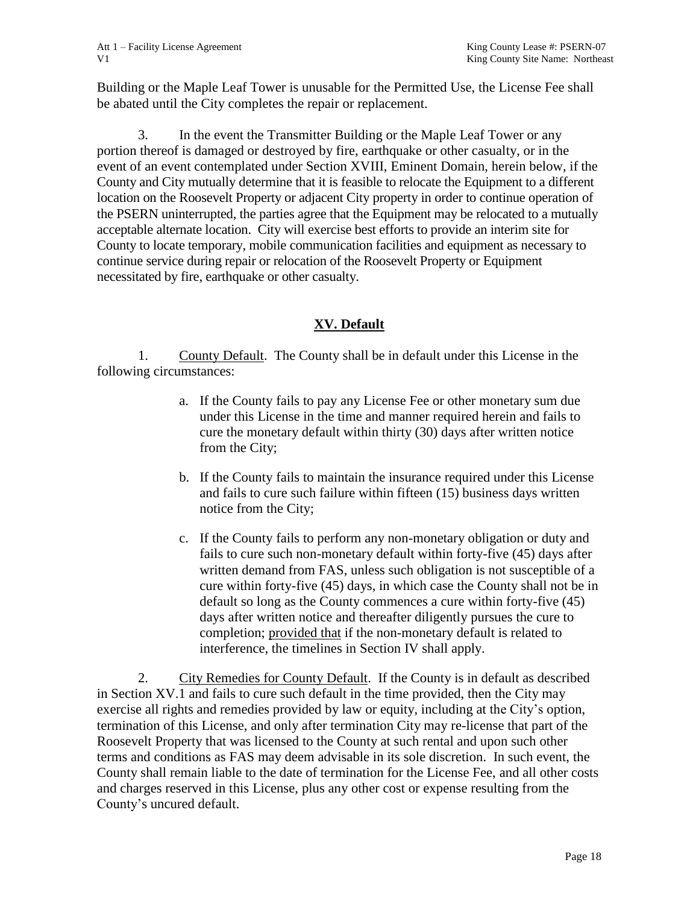Building or the Maple Leaf Tower is unusable for the Permitted Use, the License Fee shall be abated until the City completes the repair or replacement.

3. In the event the Transmitter Building or the Maple Leaf Tower or any portion thereof is damaged or destroyed by fire, earthquake or other casualty, or in the event of an event contemplated under Section XVIII, Eminent Domain, herein below, if the County and City mutually determine that it is feasible to relocate the Equipment to a different location on the Roosevelt Property or adjacent City property in order to continue operation of the PSERN uninterrupted, the parties agree that the Equipment may be relocated to a mutually acceptable alternate location. City will exercise best efforts to provide an interim site for County to locate temporary, mobile communication facilities and equipment as necessary to continue service during repair or relocation of the Roosevelt Property or Equipment necessitated by fire, earthquake or other casualty.

# **XV. Default**

1. County Default. The County shall be in default under this License in the following circumstances:

- a. If the County fails to pay any License Fee or other monetary sum due under this License in the time and manner required herein and fails to cure the monetary default within thirty (30) days after written notice from the City;
- b. If the County fails to maintain the insurance required under this License and fails to cure such failure within fifteen (15) business days written notice from the City;
- c. If the County fails to perform any non-monetary obligation or duty and fails to cure such non-monetary default within forty-five (45) days after written demand from FAS, unless such obligation is not susceptible of a cure within forty-five (45) days, in which case the County shall not be in default so long as the County commences a cure within forty-five (45) days after written notice and thereafter diligently pursues the cure to completion; provided that if the non-monetary default is related to interference, the timelines in Section IV shall apply.

2. City Remedies for County Default. If the County is in default as described in Section XV.1 and fails to cure such default in the time provided, then the City may exercise all rights and remedies provided by law or equity, including at the City's option, termination of this License, and only after termination City may re-license that part of the Roosevelt Property that was licensed to the County at such rental and upon such other terms and conditions as FAS may deem advisable in its sole discretion. In such event, the County shall remain liable to the date of termination for the License Fee, and all other costs and charges reserved in this License, plus any other cost or expense resulting from the County's uncured default.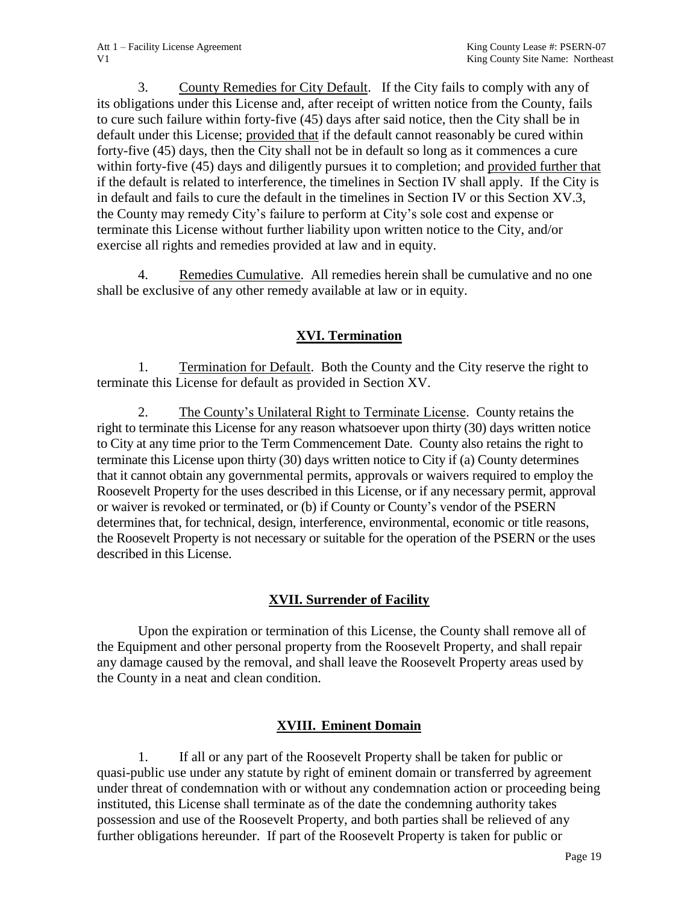3. County Remedies for City Default. If the City fails to comply with any of its obligations under this License and, after receipt of written notice from the County, fails to cure such failure within forty-five (45) days after said notice, then the City shall be in default under this License; provided that if the default cannot reasonably be cured within forty-five (45) days, then the City shall not be in default so long as it commences a cure within forty-five (45) days and diligently pursues it to completion; and provided further that if the default is related to interference, the timelines in Section IV shall apply. If the City is in default and fails to cure the default in the timelines in Section IV or this Section XV.3, the County may remedy City's failure to perform at City's sole cost and expense or terminate this License without further liability upon written notice to the City, and/or exercise all rights and remedies provided at law and in equity.

4. Remedies Cumulative. All remedies herein shall be cumulative and no one shall be exclusive of any other remedy available at law or in equity.

# **XVI. Termination**

1. Termination for Default. Both the County and the City reserve the right to terminate this License for default as provided in Section XV.

2. The County's Unilateral Right to Terminate License. County retains the right to terminate this License for any reason whatsoever upon thirty (30) days written notice to City at any time prior to the Term Commencement Date. County also retains the right to terminate this License upon thirty (30) days written notice to City if (a) County determines that it cannot obtain any governmental permits, approvals or waivers required to employ the Roosevelt Property for the uses described in this License, or if any necessary permit, approval or waiver is revoked or terminated, or (b) if County or County's vendor of the PSERN determines that, for technical, design, interference, environmental, economic or title reasons, the Roosevelt Property is not necessary or suitable for the operation of the PSERN or the uses described in this License.

# **XVII. Surrender of Facility**

Upon the expiration or termination of this License, the County shall remove all of the Equipment and other personal property from the Roosevelt Property, and shall repair any damage caused by the removal, and shall leave the Roosevelt Property areas used by the County in a neat and clean condition.

# **XVIII. Eminent Domain**

1. If all or any part of the Roosevelt Property shall be taken for public or quasi-public use under any statute by right of eminent domain or transferred by agreement under threat of condemnation with or without any condemnation action or proceeding being instituted, this License shall terminate as of the date the condemning authority takes possession and use of the Roosevelt Property, and both parties shall be relieved of any further obligations hereunder. If part of the Roosevelt Property is taken for public or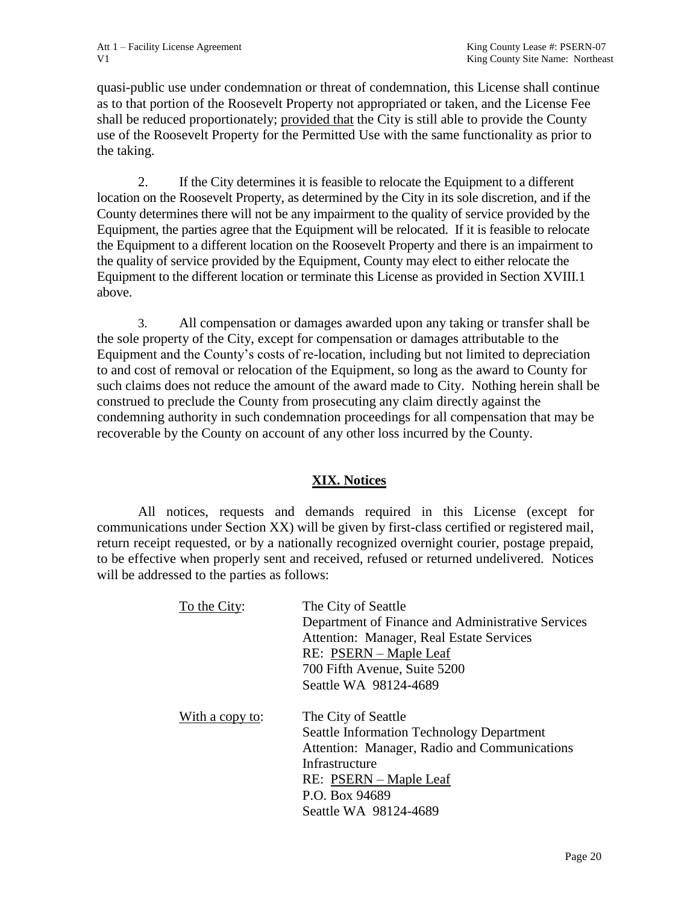quasi-public use under condemnation or threat of condemnation, this License shall continue as to that portion of the Roosevelt Property not appropriated or taken, and the License Fee shall be reduced proportionately; provided that the City is still able to provide the County use of the Roosevelt Property for the Permitted Use with the same functionality as prior to the taking.

2. If the City determines it is feasible to relocate the Equipment to a different location on the Roosevelt Property, as determined by the City in its sole discretion, and if the County determines there will not be any impairment to the quality of service provided by the Equipment, the parties agree that the Equipment will be relocated. If it is feasible to relocate the Equipment to a different location on the Roosevelt Property and there is an impairment to the quality of service provided by the Equipment, County may elect to either relocate the Equipment to the different location or terminate this License as provided in Section XVIII.1 above.

3. All compensation or damages awarded upon any taking or transfer shall be the sole property of the City, except for compensation or damages attributable to the Equipment and the County's costs of re-location, including but not limited to depreciation to and cost of removal or relocation of the Equipment, so long as the award to County for such claims does not reduce the amount of the award made to City. Nothing herein shall be construed to preclude the County from prosecuting any claim directly against the condemning authority in such condemnation proceedings for all compensation that may be recoverable by the County on account of any other loss incurred by the County.

### **XIX. Notices**

All notices, requests and demands required in this License (except for communications under Section XX) will be given by first-class certified or registered mail, return receipt requested, or by a nationally recognized overnight courier, postage prepaid, to be effective when properly sent and received, refused or returned undelivered. Notices will be addressed to the parties as follows:

| To the City:    | The City of Seattle<br>Department of Finance and Administrative Services<br>Attention: Manager, Real Estate Services<br>RE: PSERN – Maple Leaf<br>700 Fifth Avenue, Suite 5200<br>Seattle WA 98124-4689        |
|-----------------|----------------------------------------------------------------------------------------------------------------------------------------------------------------------------------------------------------------|
| With a copy to: | The City of Seattle<br><b>Seattle Information Technology Department</b><br>Attention: Manager, Radio and Communications<br>Infrastructure<br>RE: PSERN – Maple Leaf<br>P.O. Box 94689<br>Seattle WA 98124-4689 |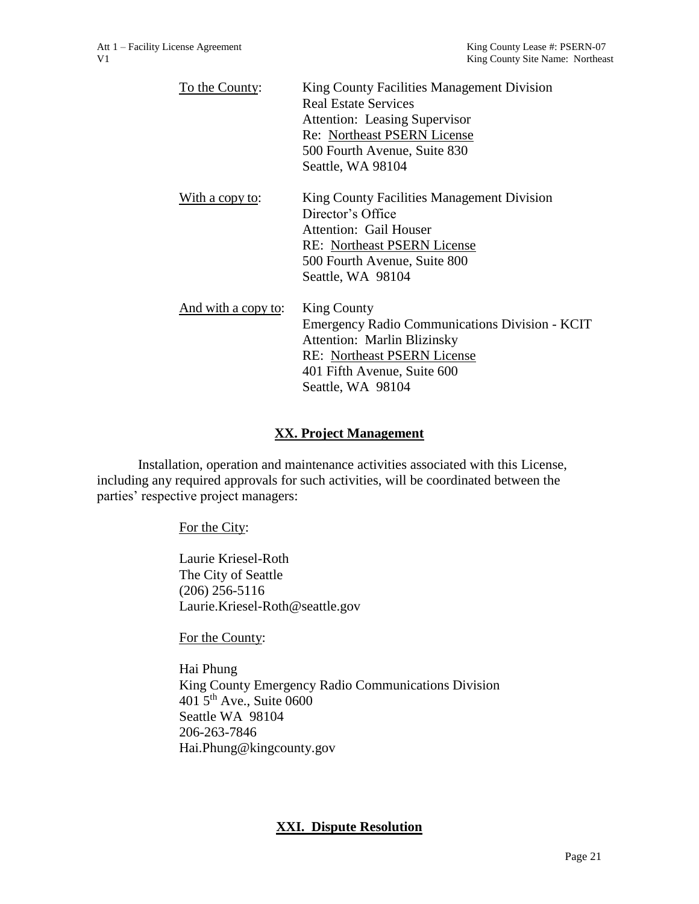| To the County:      | King County Facilities Management Division     |
|---------------------|------------------------------------------------|
|                     | <b>Real Estate Services</b>                    |
|                     | <b>Attention: Leasing Supervisor</b>           |
|                     | Re: Northeast PSERN License                    |
|                     | 500 Fourth Avenue, Suite 830                   |
|                     | Seattle, WA 98104                              |
| With a copy to:     | King County Facilities Management Division     |
|                     | Director's Office                              |
|                     | <b>Attention: Gail Houser</b>                  |
|                     | <b>RE:</b> Northeast PSERN License             |
|                     | 500 Fourth Avenue, Suite 800                   |
|                     | Seattle, WA 98104                              |
| And with a copy to: | <b>King County</b>                             |
|                     | Emergency Radio Communications Division - KCIT |
|                     | <b>Attention: Marlin Blizinsky</b>             |
|                     | <b>RE:</b> Northeast PSERN License             |
|                     | 401 Fifth Avenue, Suite 600                    |
|                     | Seattle, WA 98104                              |
|                     |                                                |

### **XX. Project Management**

Installation, operation and maintenance activities associated with this License, including any required approvals for such activities, will be coordinated between the parties' respective project managers:

#### For the City:

Laurie Kriesel-Roth The City of Seattle (206) 256-5116 Laurie.Kriesel-Roth@seattle.gov

For the County:

Hai Phung King County Emergency Radio Communications Division  $401\overline{5}$ <sup>th</sup> Ave., Suite 0600 Seattle WA 98104 206-263-7846 Hai.Phung@kingcounty.gov

### **XXI. Dispute Resolution**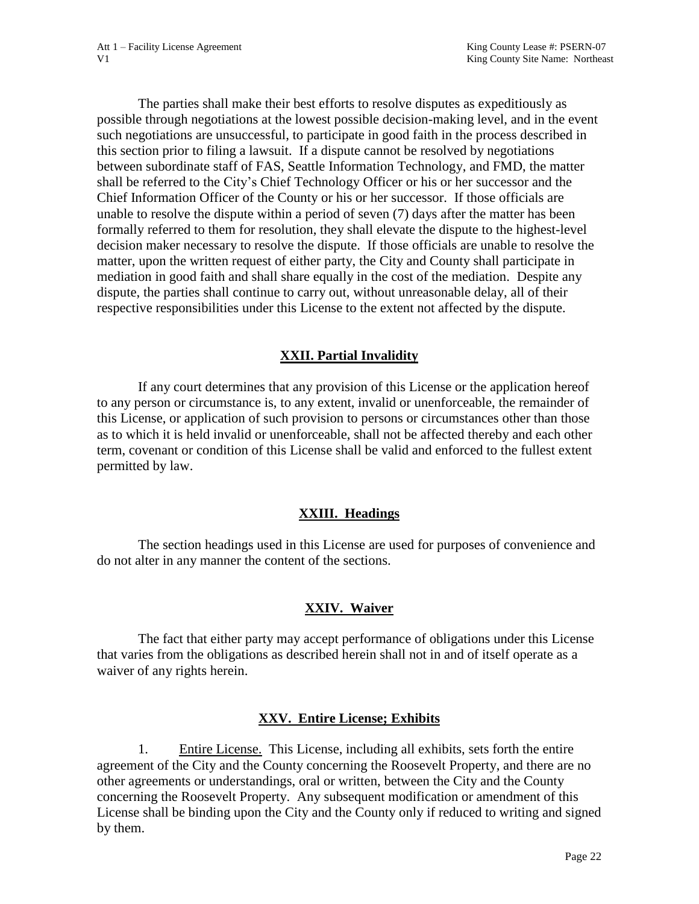The parties shall make their best efforts to resolve disputes as expeditiously as possible through negotiations at the lowest possible decision-making level, and in the event such negotiations are unsuccessful, to participate in good faith in the process described in this section prior to filing a lawsuit. If a dispute cannot be resolved by negotiations between subordinate staff of FAS, Seattle Information Technology, and FMD, the matter shall be referred to the City's Chief Technology Officer or his or her successor and the Chief Information Officer of the County or his or her successor. If those officials are unable to resolve the dispute within a period of seven (7) days after the matter has been formally referred to them for resolution, they shall elevate the dispute to the highest-level decision maker necessary to resolve the dispute. If those officials are unable to resolve the matter, upon the written request of either party, the City and County shall participate in mediation in good faith and shall share equally in the cost of the mediation. Despite any dispute, the parties shall continue to carry out, without unreasonable delay, all of their respective responsibilities under this License to the extent not affected by the dispute.

### **XXII. Partial Invalidity**

If any court determines that any provision of this License or the application hereof to any person or circumstance is, to any extent, invalid or unenforceable, the remainder of this License, or application of such provision to persons or circumstances other than those as to which it is held invalid or unenforceable, shall not be affected thereby and each other term, covenant or condition of this License shall be valid and enforced to the fullest extent permitted by law.

#### **XXIII. Headings**

The section headings used in this License are used for purposes of convenience and do not alter in any manner the content of the sections.

### **XXIV. Waiver**

The fact that either party may accept performance of obligations under this License that varies from the obligations as described herein shall not in and of itself operate as a waiver of any rights herein.

#### **XXV. Entire License; Exhibits**

1. Entire License. This License, including all exhibits, sets forth the entire agreement of the City and the County concerning the Roosevelt Property, and there are no other agreements or understandings, oral or written, between the City and the County concerning the Roosevelt Property. Any subsequent modification or amendment of this License shall be binding upon the City and the County only if reduced to writing and signed by them.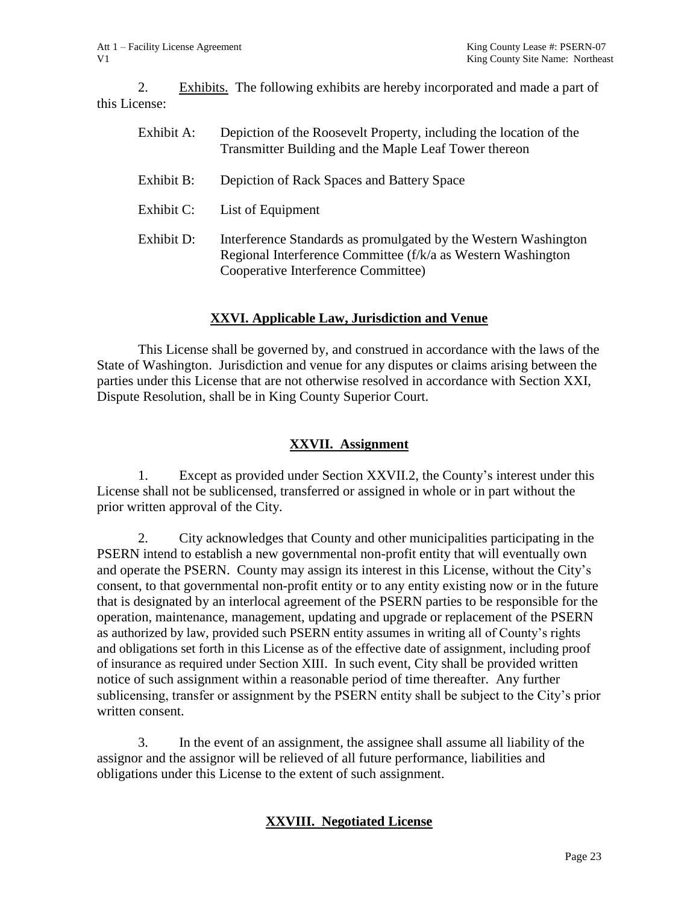2. Exhibits. The following exhibits are hereby incorporated and made a part of this License:

| Exhibit A: | Depiction of the Roosevelt Property, including the location of the<br>Transmitter Building and the Maple Leaf Tower thereon                                            |
|------------|------------------------------------------------------------------------------------------------------------------------------------------------------------------------|
| Exhibit B: | Depiction of Rack Spaces and Battery Space                                                                                                                             |
| Exhibit C: | List of Equipment                                                                                                                                                      |
| Exhibit D: | Interference Standards as promulgated by the Western Washington<br>Regional Interference Committee (f/k/a as Western Washington<br>Cooperative Interference Committee) |

### **XXVI. Applicable Law, Jurisdiction and Venue**

This License shall be governed by, and construed in accordance with the laws of the State of Washington. Jurisdiction and venue for any disputes or claims arising between the parties under this License that are not otherwise resolved in accordance with Section XXI, Dispute Resolution, shall be in King County Superior Court.

### **XXVII. Assignment**

1. Except as provided under Section XXVII.2, the County's interest under this License shall not be sublicensed, transferred or assigned in whole or in part without the prior written approval of the City.

2. City acknowledges that County and other municipalities participating in the PSERN intend to establish a new governmental non-profit entity that will eventually own and operate the PSERN. County may assign its interest in this License, without the City's consent, to that governmental non-profit entity or to any entity existing now or in the future that is designated by an interlocal agreement of the PSERN parties to be responsible for the operation, maintenance, management, updating and upgrade or replacement of the PSERN as authorized by law, provided such PSERN entity assumes in writing all of County's rights and obligations set forth in this License as of the effective date of assignment, including proof of insurance as required under Section XIII. In such event, City shall be provided written notice of such assignment within a reasonable period of time thereafter. Any further sublicensing, transfer or assignment by the PSERN entity shall be subject to the City's prior written consent.

3. In the event of an assignment, the assignee shall assume all liability of the assignor and the assignor will be relieved of all future performance, liabilities and obligations under this License to the extent of such assignment.

### **XXVIII. Negotiated License**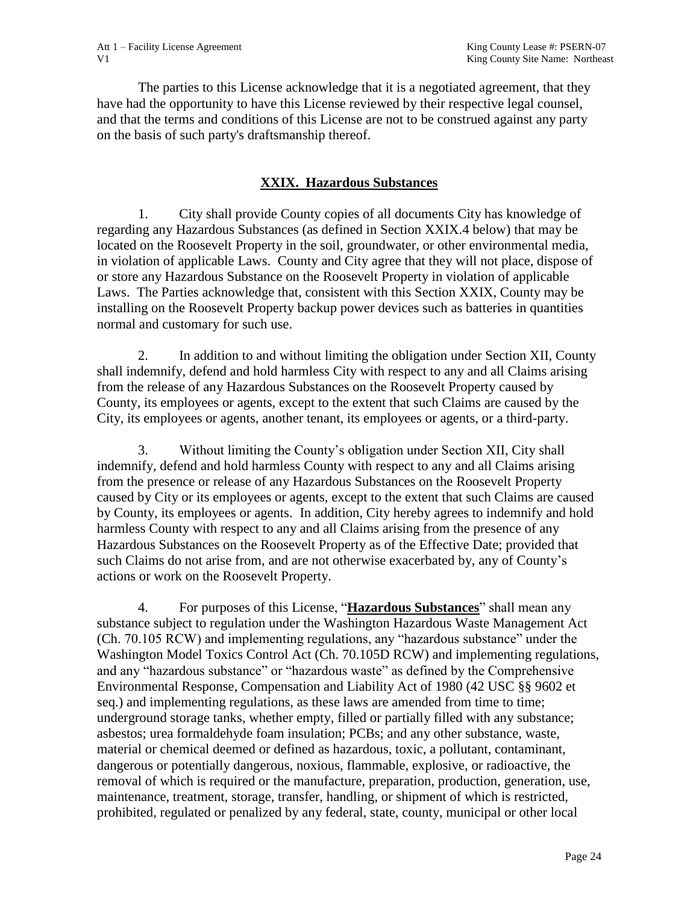The parties to this License acknowledge that it is a negotiated agreement, that they have had the opportunity to have this License reviewed by their respective legal counsel, and that the terms and conditions of this License are not to be construed against any party on the basis of such party's draftsmanship thereof.

### **XXIX. Hazardous Substances**

1. City shall provide County copies of all documents City has knowledge of regarding any Hazardous Substances (as defined in Section XXIX.4 below) that may be located on the Roosevelt Property in the soil, groundwater, or other environmental media, in violation of applicable Laws. County and City agree that they will not place, dispose of or store any Hazardous Substance on the Roosevelt Property in violation of applicable Laws. The Parties acknowledge that, consistent with this Section XXIX, County may be installing on the Roosevelt Property backup power devices such as batteries in quantities normal and customary for such use.

2. In addition to and without limiting the obligation under Section XII, County shall indemnify, defend and hold harmless City with respect to any and all Claims arising from the release of any Hazardous Substances on the Roosevelt Property caused by County, its employees or agents, except to the extent that such Claims are caused by the City, its employees or agents, another tenant, its employees or agents, or a third-party.

3. Without limiting the County's obligation under Section XII, City shall indemnify, defend and hold harmless County with respect to any and all Claims arising from the presence or release of any Hazardous Substances on the Roosevelt Property caused by City or its employees or agents, except to the extent that such Claims are caused by County, its employees or agents. In addition, City hereby agrees to indemnify and hold harmless County with respect to any and all Claims arising from the presence of any Hazardous Substances on the Roosevelt Property as of the Effective Date; provided that such Claims do not arise from, and are not otherwise exacerbated by, any of County's actions or work on the Roosevelt Property.

4. For purposes of this License, "**Hazardous Substances**" shall mean any substance subject to regulation under the Washington Hazardous Waste Management Act (Ch. 70.105 RCW) and implementing regulations, any "hazardous substance" under the Washington Model Toxics Control Act (Ch. 70.105D RCW) and implementing regulations, and any "hazardous substance" or "hazardous waste" as defined by the Comprehensive Environmental Response, Compensation and Liability Act of 1980 (42 USC §§ 9602 et seq.) and implementing regulations, as these laws are amended from time to time; underground storage tanks, whether empty, filled or partially filled with any substance; asbestos; urea formaldehyde foam insulation; PCBs; and any other substance, waste, material or chemical deemed or defined as hazardous, toxic, a pollutant, contaminant, dangerous or potentially dangerous, noxious, flammable, explosive, or radioactive, the removal of which is required or the manufacture, preparation, production, generation, use, maintenance, treatment, storage, transfer, handling, or shipment of which is restricted, prohibited, regulated or penalized by any federal, state, county, municipal or other local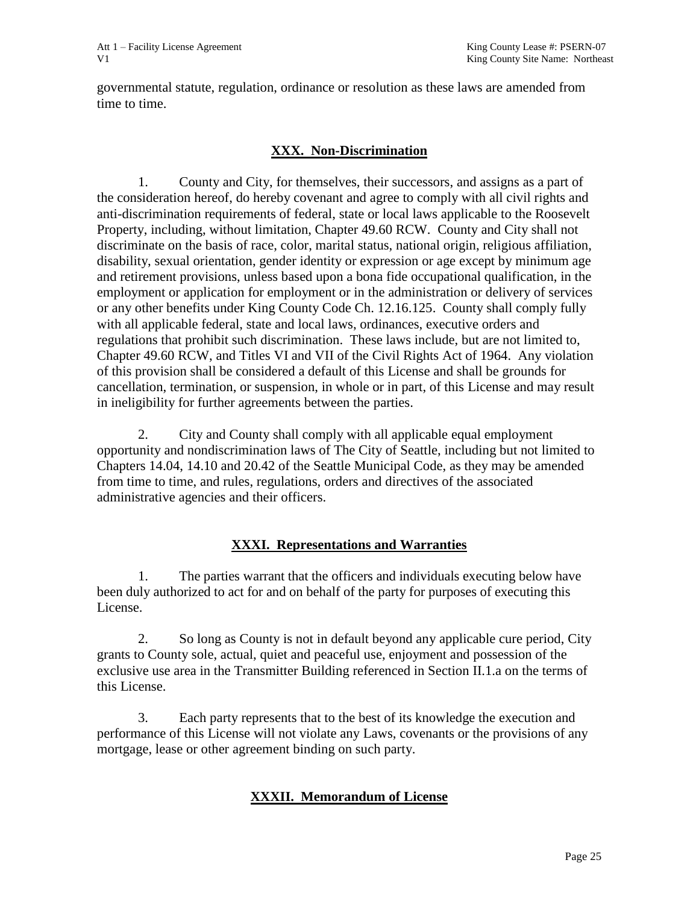governmental statute, regulation, ordinance or resolution as these laws are amended from time to time.

### **XXX. Non-Discrimination**

1. County and City, for themselves, their successors, and assigns as a part of the consideration hereof, do hereby covenant and agree to comply with all civil rights and anti-discrimination requirements of federal, state or local laws applicable to the Roosevelt Property, including, without limitation, Chapter 49.60 RCW. County and City shall not discriminate on the basis of race, color, marital status, national origin, religious affiliation, disability, sexual orientation, gender identity or expression or age except by minimum age and retirement provisions, unless based upon a bona fide occupational qualification, in the employment or application for employment or in the administration or delivery of services or any other benefits under King County Code Ch. 12.16.125. County shall comply fully with all applicable federal, state and local laws, ordinances, executive orders and regulations that prohibit such discrimination. These laws include, but are not limited to, Chapter 49.60 RCW, and Titles VI and VII of the Civil Rights Act of 1964. Any violation of this provision shall be considered a default of this License and shall be grounds for cancellation, termination, or suspension, in whole or in part, of this License and may result in ineligibility for further agreements between the parties.

2. City and County shall comply with all applicable equal employment opportunity and nondiscrimination laws of The City of Seattle, including but not limited to Chapters 14.04, 14.10 and 20.42 of the Seattle Municipal Code, as they may be amended from time to time, and rules, regulations, orders and directives of the associated administrative agencies and their officers.

### **XXXI. Representations and Warranties**

1. The parties warrant that the officers and individuals executing below have been duly authorized to act for and on behalf of the party for purposes of executing this License.

2. So long as County is not in default beyond any applicable cure period, City grants to County sole, actual, quiet and peaceful use, enjoyment and possession of the exclusive use area in the Transmitter Building referenced in Section II.1.a on the terms of this License.

3. Each party represents that to the best of its knowledge the execution and performance of this License will not violate any Laws, covenants or the provisions of any mortgage, lease or other agreement binding on such party.

# **XXXII. Memorandum of License**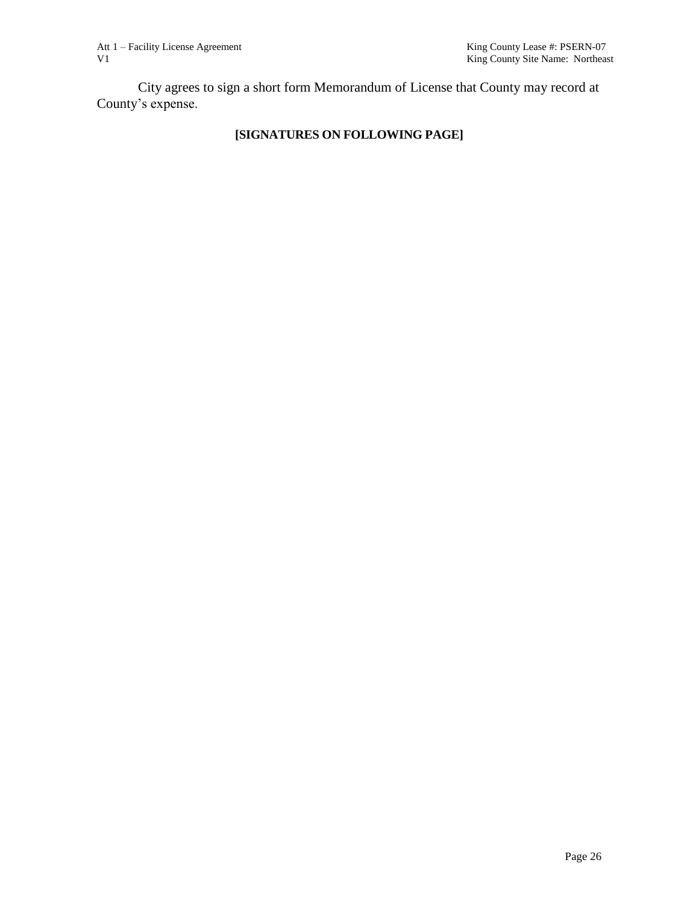City agrees to sign a short form Memorandum of License that County may record at County's expense.

# **[SIGNATURES ON FOLLOWING PAGE]**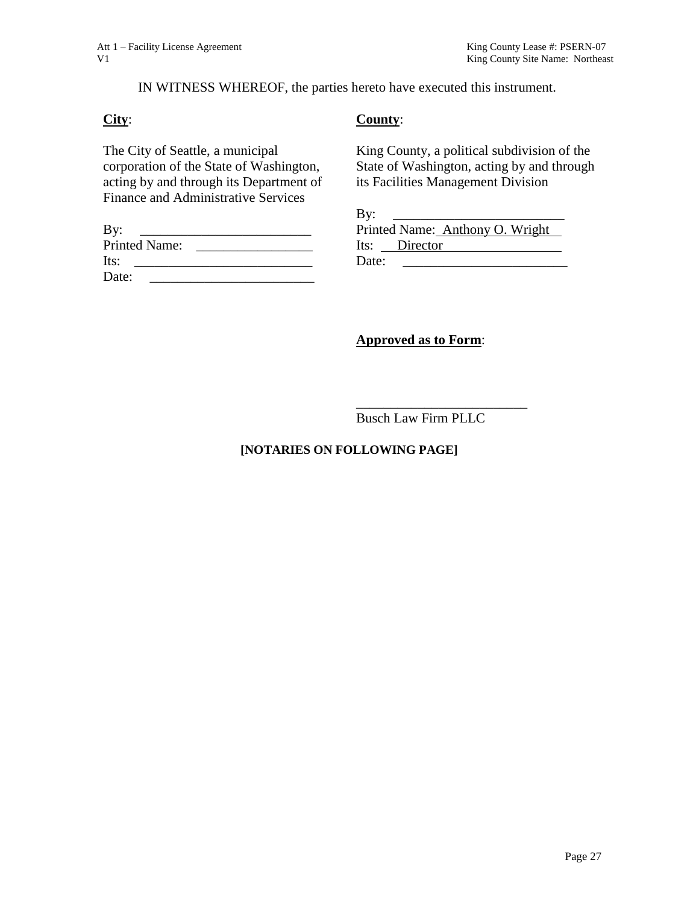#### IN WITNESS WHEREOF, the parties hereto have executed this instrument.

#### **City**:

### **County**:

The City of Seattle, a municipal corporation of the State of Washington, acting by and through its Department of Finance and Administrative Services

| By:                  |  |
|----------------------|--|
| <b>Printed Name:</b> |  |
| Its:                 |  |
| Date:                |  |

### King County, a political subdivision of the State of Washington, acting by and through its Facilities Management Division

| By:   |               |                                 |  |
|-------|---------------|---------------------------------|--|
|       |               | Printed Name: Anthony O. Wright |  |
|       | Its: Director |                                 |  |
| Date: |               |                                 |  |

# **Approved as to Form**:

Busch Law Firm PLLC

\_\_\_\_\_\_\_\_\_\_\_\_\_\_\_\_\_\_\_\_\_\_\_\_\_

#### **[NOTARIES ON FOLLOWING PAGE]**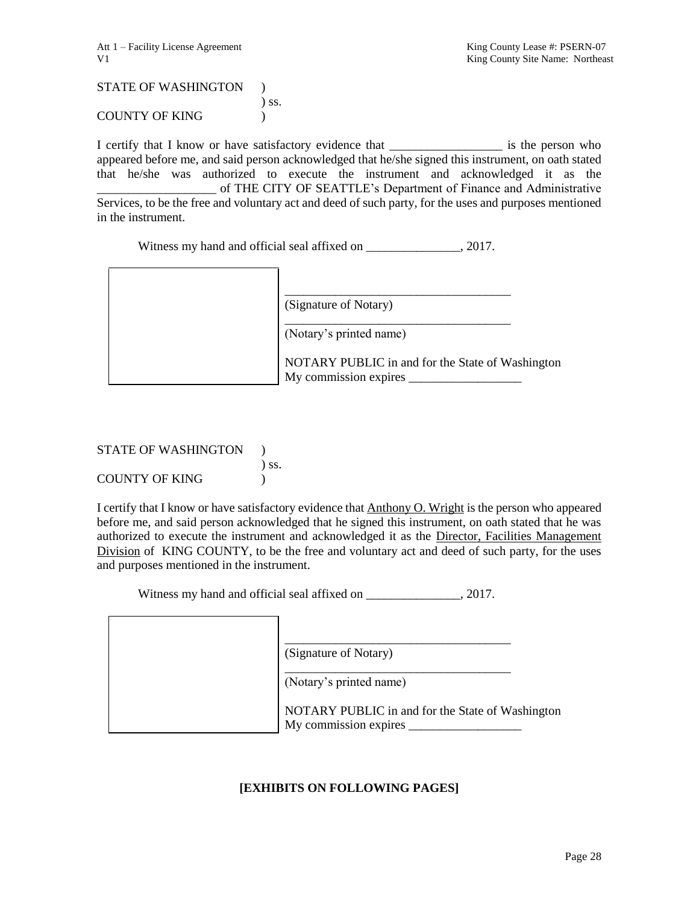STATE OF WASHINGTON ) ) ss. COUNTY OF KING (1997)

I certify that I know or have satisfactory evidence that \_\_\_\_\_\_\_\_\_\_\_\_\_\_\_\_\_\_\_\_\_\_\_ is the person who appeared before me, and said person acknowledged that he/she signed this instrument, on oath stated that he/she was authorized to execute the instrument and acknowledged it as the \_\_\_\_\_\_\_\_\_\_\_\_\_\_\_\_\_\_\_ of THE CITY OF SEATTLE's Department of Finance and Administrative Services, to be the free and voluntary act and deed of such party, for the uses and purposes mentioned in the instrument.

Witness my hand and official seal affixed on  $\qquad \qquad$ , 2017.

|  | (Signature of Notary)                                                     |
|--|---------------------------------------------------------------------------|
|  | (Notary's printed name)                                                   |
|  | NOTARY PUBLIC in and for the State of Washington<br>My commission expires |

#### STATE OF WASHINGTON ) ) ss. COUNTY OF KING (1)

I certify that I know or have satisfactory evidence that Anthony O. Wright is the person who appeared before me, and said person acknowledged that he signed this instrument, on oath stated that he was authorized to execute the instrument and acknowledged it as the Director, Facilities Management Division of KING COUNTY, to be the free and voluntary act and deed of such party, for the uses and purposes mentioned in the instrument.

Witness my hand and official seal affixed on \_\_\_\_\_\_\_\_\_\_\_\_\_\_, 2017.

| (Signature of Notary)                                                     |
|---------------------------------------------------------------------------|
| (Notary's printed name)                                                   |
| NOTARY PUBLIC in and for the State of Washington<br>My commission expires |

### **[EXHIBITS ON FOLLOWING PAGES]**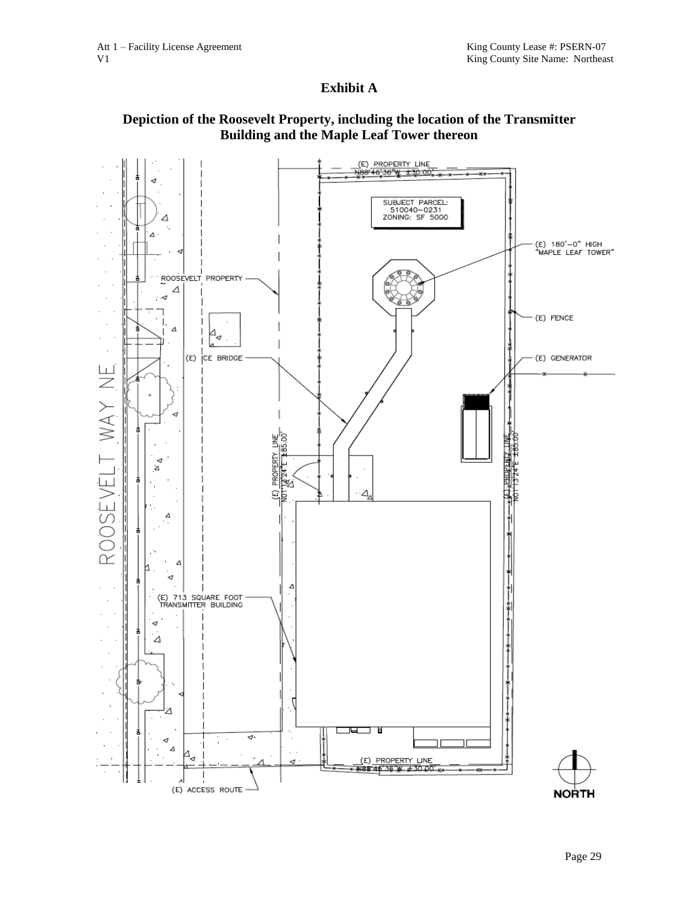### **Exhibit A**

### **Depiction of the Roosevelt Property, including the location of the Transmitter Building and the Maple Leaf Tower thereon**

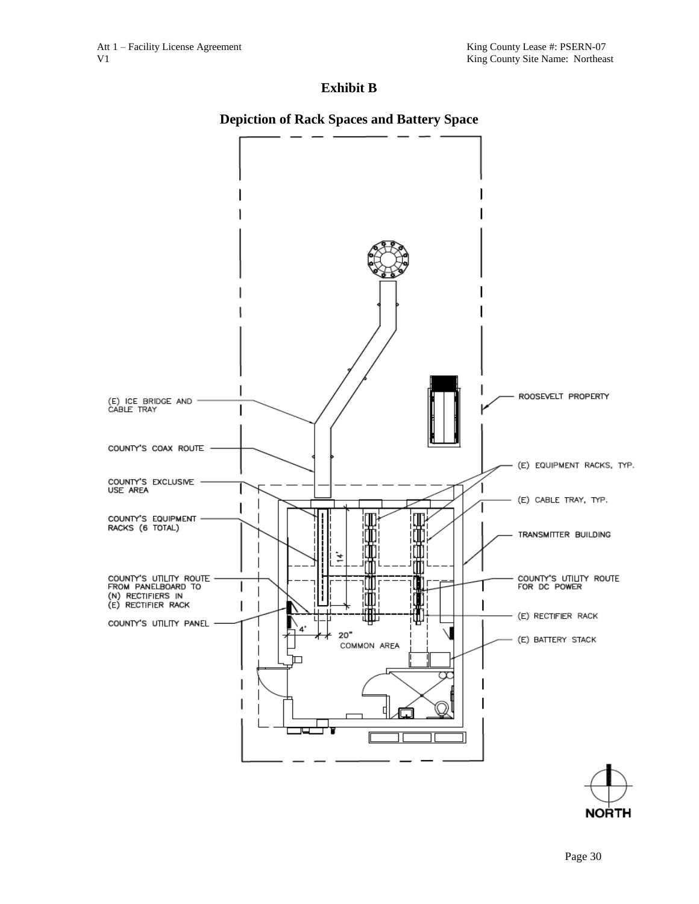### **Exhibit B**

### **Depiction of Rack Spaces and Battery Space**



**NORTH**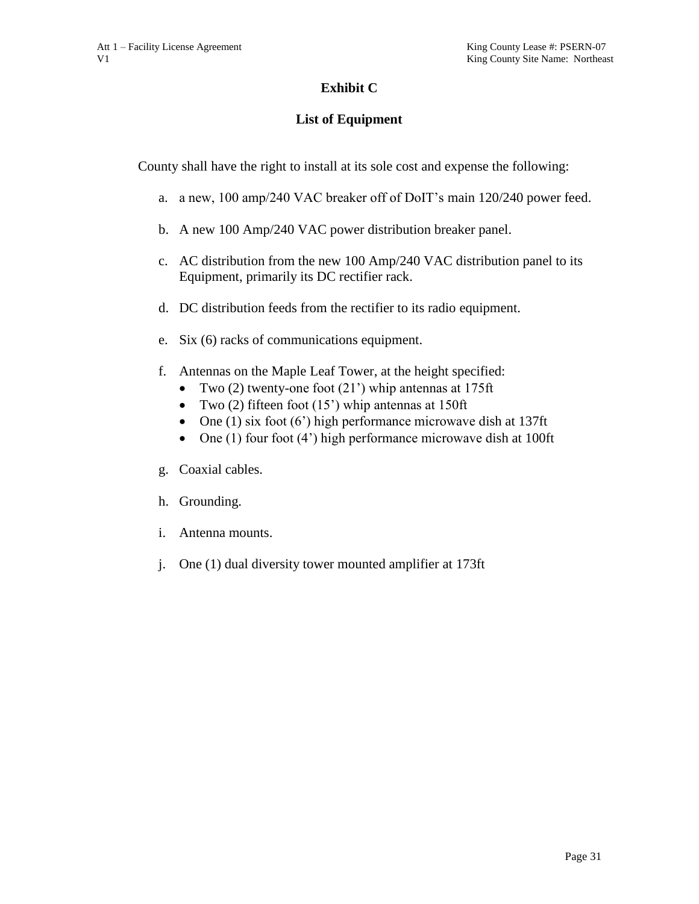# **Exhibit C**

# **List of Equipment**

County shall have the right to install at its sole cost and expense the following:

- a. a new, 100 amp/240 VAC breaker off of DoIT's main 120/240 power feed.
- b. A new 100 Amp/240 VAC power distribution breaker panel.
- c. AC distribution from the new 100 Amp/240 VAC distribution panel to its Equipment, primarily its DC rectifier rack.
- d. DC distribution feeds from the rectifier to its radio equipment.
- e. Six (6) racks of communications equipment.
- f. Antennas on the Maple Leaf Tower, at the height specified:
	- Two (2) twenty-one foot (21') whip antennas at 175ft
	- Two  $(2)$  fifteen foot  $(15)$  whip antennas at 150ft
	- One (1) six foot (6') high performance microwave dish at  $137$ ft
	- One  $(1)$  four foot  $(4')$  high performance microwave dish at 100ft
- g. Coaxial cables.
- h. Grounding.
- i. Antenna mounts.
- j. One (1) dual diversity tower mounted amplifier at 173ft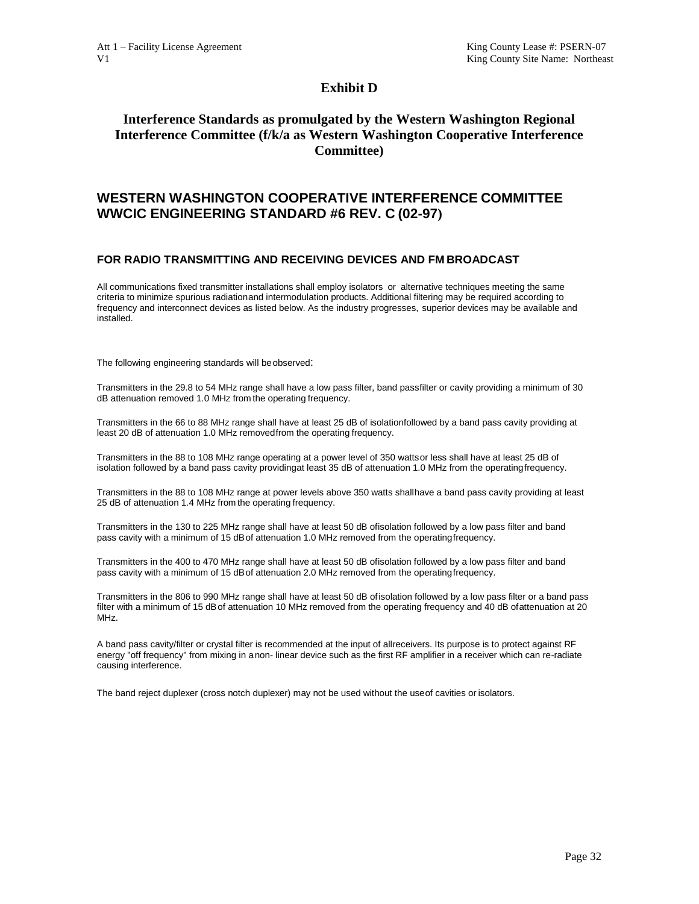#### **Exhibit D**

### **Interference Standards as promulgated by the Western Washington Regional Interference Committee (f/k/a as Western Washington Cooperative Interference Committee)**

#### **WESTERN WASHINGTON COOPERATIVE INTERFERENCE COMMITTEE WWCIC ENGINEERING STANDARD #6 REV. C (02-97)**

#### **FOR RADIO TRANSMITTING AND RECEIVING DEVICES AND FM BROADCAST**

All communications fixed transmitter installations shall employ isolators or alternative techniques meeting the same criteria to minimize spurious radiationand intermodulation products. Additional filtering may be required according to frequency and interconnect devices as listed below. As the industry progresses, superior devices may be available and installed.

The following engineering standards will beobserved:

Transmitters in the 29.8 to 54 MHz range shall have a low pass filter, band passfilter or cavity providing a minimum of 30 dB attenuation removed 1.0 MHz from the operating frequency.

Transmitters in the 66 to 88 MHz range shall have at least 25 dB of isolationfollowed by a band pass cavity providing at least 20 dB of attenuation 1.0 MHz removedfrom the operating frequency.

Transmitters in the 88 to 108 MHz range operating at a power level of 350 wattsor less shall have at least 25 dB of isolation followed by a band pass cavity providingat least 35 dB of attenuation 1.0 MHz from the operatingfrequency.

Transmitters in the 88 to 108 MHz range at power levels above 350 watts shallhave a band pass cavity providing at least 25 dB of attenuation 1.4 MHz from the operating frequency.

Transmitters in the 130 to 225 MHz range shall have at least 50 dB ofisolation followed by a low pass filter and band pass cavity with a minimum of 15 dBof attenuation 1.0 MHz removed from the operatingfrequency.

Transmitters in the 400 to 470 MHz range shall have at least 50 dB ofisolation followed by a low pass filter and band pass cavity with a minimum of 15 dBof attenuation 2.0 MHz removed from the operatingfrequency.

Transmitters in the 806 to 990 MHz range shall have at least 50 dB ofisolation followed by a low pass filter or a band pass filter with a minimum of 15 dBof attenuation 10 MHz removed from the operating frequency and 40 dB ofattenuation at 20 MHz.

A band pass cavity/filter or crystal filter is recommended at the input of allreceivers. Its purpose is to protect against RF energy "off frequency" from mixing in anon- linear device such as the first RF amplifier in a receiver which can re-radiate causing interference.

The band reject duplexer (cross notch duplexer) may not be used without the useof cavities or isolators.